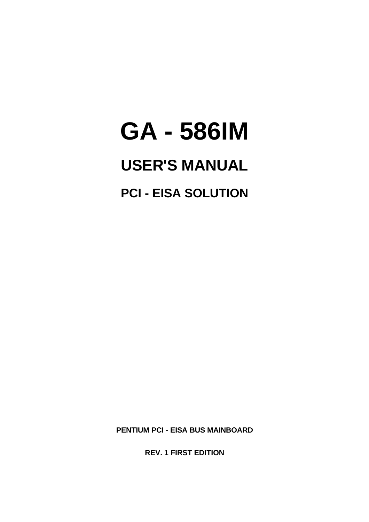# **GA - 586IM**

# **USER'S MANUAL**

**PCI - EISA SOLUTION**

**PENTIUM PCI - EISA BUS MAINBOARD**

**REV. 1 FIRST EDITION**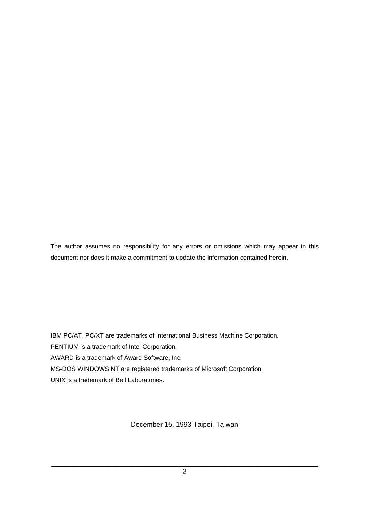The author assumes no responsibility for any errors or omissions which may appear in this document nor does it make a commitment to update the information contained herein.

IBM PC/AT, PC/XT are trademarks of International Business Machine Corporation. PENTIUM is a trademark of Intel Corporation. AWARD is a trademark of Award Software, Inc. MS-DOS WINDOWS NT are registered trademarks of Microsoft Corporation. UNIX is a trademark of Bell Laboratories.

December 15, 1993 Taipei, Taiwan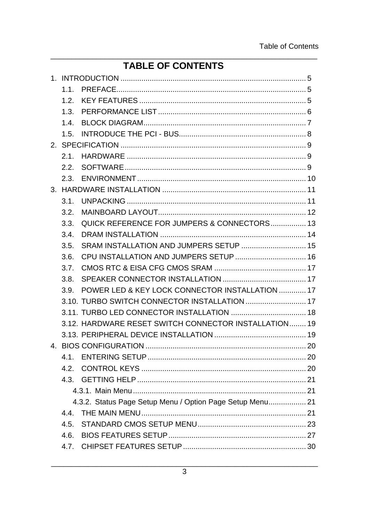# **TABLE OF CONTENTS**

| 1.1. |                                                           |  |
|------|-----------------------------------------------------------|--|
| 1.2. |                                                           |  |
|      |                                                           |  |
|      |                                                           |  |
| 1.5. |                                                           |  |
|      |                                                           |  |
| 2.1. |                                                           |  |
| 2.2. |                                                           |  |
| 2.3. |                                                           |  |
|      |                                                           |  |
| 3.1. |                                                           |  |
| 3.2. |                                                           |  |
| 3.3. | QUICK REFERENCE FOR JUMPERS & CONNECTORS 13               |  |
| 3.4. |                                                           |  |
| 3.5. | SRAM INSTALLATION AND JUMPERS SETUP  15                   |  |
| 3.6. | CPU INSTALLATION AND JUMPERS SETUP  16                    |  |
| 3.7. |                                                           |  |
| 3.8. |                                                           |  |
| 3.9. | POWER LED & KEY LOCK CONNECTOR INSTALLATION  17           |  |
|      | 3.10. TURBO SWITCH CONNECTOR INSTALLATION  17             |  |
|      |                                                           |  |
|      | 3.12. HARDWARE RESET SWITCH CONNECTOR INSTALLATION 19     |  |
|      |                                                           |  |
|      |                                                           |  |
| 4.1. |                                                           |  |
|      |                                                           |  |
|      |                                                           |  |
|      |                                                           |  |
|      | 4.3.2. Status Page Setup Menu / Option Page Setup Menu 21 |  |
| 4.4. |                                                           |  |
| 4.5. |                                                           |  |
|      |                                                           |  |
|      |                                                           |  |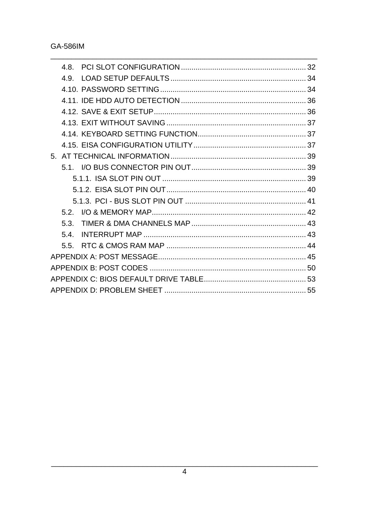| 4.8. |  |
|------|--|
| 49   |  |
|      |  |
|      |  |
|      |  |
|      |  |
|      |  |
|      |  |
|      |  |
|      |  |
|      |  |
|      |  |
|      |  |
|      |  |
| 5.3  |  |
| 54   |  |
| 5.5  |  |
|      |  |
|      |  |
|      |  |
|      |  |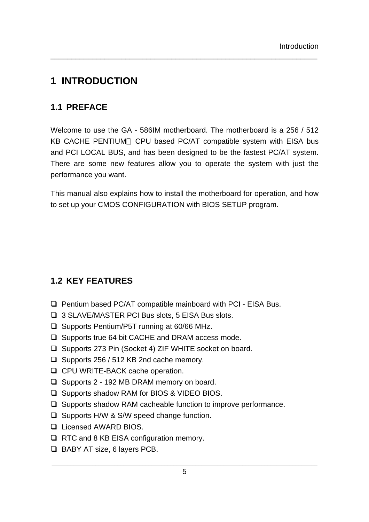# **1 INTRODUCTION**

#### **1.1 PREFACE**

Welcome to use the GA - 586IM motherboard. The motherboard is a 256 / 512 KB CACHE PENTIUM™ CPU based PC/AT compatible system with EISA bus and PCI LOCAL BUS, and has been designed to be the fastest PC/AT system. There are some new features allow you to operate the system with just the performance you want.

\_\_\_\_\_\_\_\_\_\_\_\_\_\_\_\_\_\_\_\_\_\_\_\_\_\_\_\_\_\_\_\_\_\_\_\_\_\_\_\_\_\_\_\_\_\_\_\_\_\_\_\_\_\_\_\_\_\_\_\_\_\_\_\_

This manual also explains how to install the motherboard for operation, and how to set up your CMOS CONFIGURATION with BIOS SETUP program.

### **1.2 KEY FEATURES**

- $\Box$  Pentium based PC/AT compatible mainboard with PCI EISA Bus.
- □ 3 SLAVE/MASTER PCI Bus slots, 5 EISA Bus slots.
- $\Box$  Supports Pentium/P5T running at 60/66 MHz.
- $\Box$  Supports true 64 bit CACHE and DRAM access mode.
- □ Supports 273 Pin (Socket 4) ZIF WHITE socket on board.
- $\Box$  Supports 256 / 512 KB 2nd cache memory.
- □ CPU WRITE-BACK cache operation.
- $\Box$  Supports 2 192 MB DRAM memory on board.
- □ Supports shadow RAM for BIOS & VIDEO BIOS.
- $\Box$  Supports shadow RAM cacheable function to improve performance.
- $\Box$  Supports H/W & S/W speed change function.
- □ Licensed AWARD BIOS.
- $\Box$  RTC and 8 KB EISA configuration memory.
- $\Box$  BABY AT size, 6 layers PCB.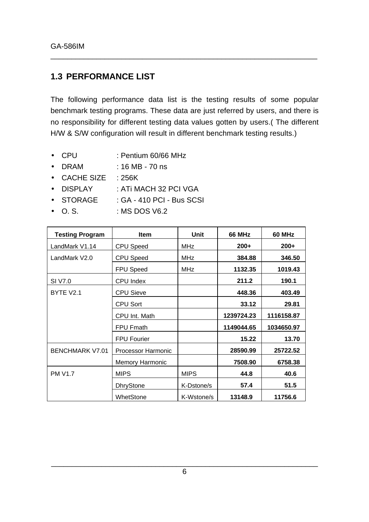#### **1.3 PERFORMANCE LIST**

The following performance data list is the testing results of some popular benchmark testing programs. These data are just referred by users, and there is no responsibility for different testing data values gotten by users.( The different H/W & S/W configuration will result in different benchmark testing results.)

- CPU : Pentium 60/66 MHz
- DRAM : 16 MB 70 ns
- CACHE SIZE : 256K
- DISPLAY : ATI MACH 32 PCI VGA
- STORAGE : GA 410 PCI Bus SCSI
- $\bullet$  O. S.  $\bullet$  : MS DOS V6.2

| <b>Testing Program</b> | Item                   | Unit        | 66 MHz     | <b>60 MHz</b> |
|------------------------|------------------------|-------------|------------|---------------|
| LandMark V1.14         | <b>CPU Speed</b>       | <b>MHz</b>  | $200+$     | $200+$        |
| LandMark V2.0          | <b>CPU Speed</b>       | <b>MHz</b>  | 384.88     | 346.50        |
|                        | FPU Speed              | <b>MHz</b>  | 1132.35    | 1019.43       |
| SI V7.0                | CPU Index              |             | 211.2      | 190.1         |
| BYTE V2.1              | <b>CPU Sieve</b>       |             | 448.36     | 403.49        |
|                        | CPU Sort               |             | 33.12      | 29.81         |
|                        | CPU Int. Math          |             | 1239724.23 | 1116158.87    |
|                        | FPU Fmath              |             | 1149044.65 | 1034650.97    |
|                        | <b>FPU Fourier</b>     |             | 15.22      | 13.70         |
| <b>BENCHMARK V7.01</b> | Processor Harmonic     |             | 28590.99   | 25722.52      |
|                        | <b>Memory Harmonic</b> |             | 7508.90    | 6758.38       |
| <b>PM V1.7</b>         | <b>MIPS</b>            | <b>MIPS</b> | 44.8       | 40.6          |
|                        | <b>DhryStone</b>       | K-Dstone/s  | 57.4       | 51.5          |
|                        | WhetStone              | K-Wstone/s  | 13148.9    | 11756.6       |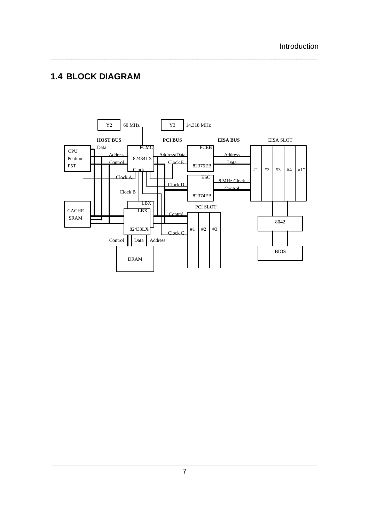#### **1.4 BLOCK DIAGRAM**

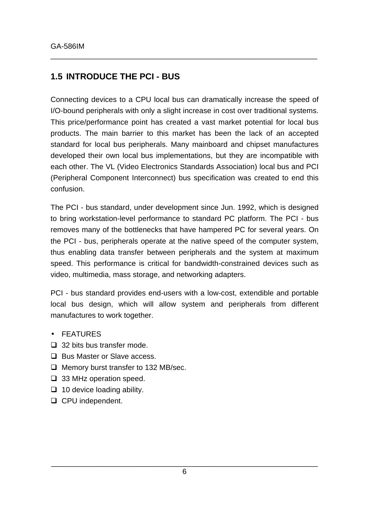#### **1.5 INTRODUCE THE PCI - BUS**

Connecting devices to a CPU local bus can dramatically increase the speed of I/O-bound peripherals with only a slight increase in cost over traditional systems. This price/performance point has created a vast market potential for local bus products. The main barrier to this market has been the lack of an accepted standard for local bus peripherals. Many mainboard and chipset manufactures developed their own local bus implementations, but they are incompatible with each other. The VL (Video Electronics Standards Association) local bus and PCI (Peripheral Component Interconnect) bus specification was created to end this confusion.

\_\_\_\_\_\_\_\_\_\_\_\_\_\_\_\_\_\_\_\_\_\_\_\_\_\_\_\_\_\_\_\_\_\_\_\_\_\_\_\_\_\_\_\_\_\_\_\_\_\_\_\_\_\_\_\_\_\_\_\_\_\_\_\_

The PCI - bus standard, under development since Jun. 1992, which is designed to bring workstation-level performance to standard PC platform. The PCI - bus removes many of the bottlenecks that have hampered PC for several years. On the PCI - bus, peripherals operate at the native speed of the computer system, thus enabling data transfer between peripherals and the system at maximum speed. This performance is critical for bandwidth-constrained devices such as video, multimedia, mass storage, and networking adapters.

PCI - bus standard provides end-users with a low-cost, extendible and portable local bus design, which will allow system and peripherals from different manufactures to work together.

- FEATURES
- $\Box$  32 bits bus transfer mode.
- **□** Bus Master or Slave access.
- $\Box$  Memory burst transfer to 132 MB/sec.
- $\Box$  33 MHz operation speed.
- $\Box$  10 device loading ability.
- $\Box$  CPU independent.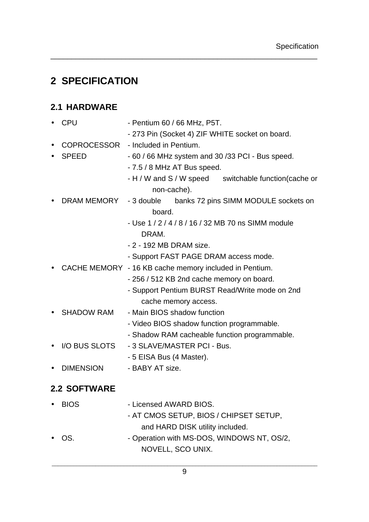# **2 SPECIFICATION**

#### **2.1 HARDWARE**

| <b>CPU</b>             | - Pentium 60 / 66 MHz, P5T.                            |  |  |
|------------------------|--------------------------------------------------------|--|--|
|                        | - 273 Pin (Socket 4) ZIF WHITE socket on board.        |  |  |
|                        | COPROCESSOR - Included in Pentium.                     |  |  |
| <b>SPEED</b>           | $-60/66$ MHz system and 30/33 PCI - Bus speed.         |  |  |
|                        | - 7.5 / 8 MHz AT Bus speed.                            |  |  |
|                        | - H / W and S / W speed switchable function (cache or  |  |  |
|                        | non-cache).                                            |  |  |
| DRAM MEMORY - 3 double | banks 72 pins SIMM MODULE sockets on<br>board.         |  |  |
|                        | - Use 1 / 2 / 4 / 8 / 16 / 32 MB 70 ns SIMM module     |  |  |
|                        | DRAM.                                                  |  |  |
|                        | - 2 - 192 MB DRAM size.                                |  |  |
|                        | - Support FAST PAGE DRAM access mode.                  |  |  |
|                        | CACHE MEMORY - 16 KB cache memory included in Pentium. |  |  |
|                        | - 256 / 512 KB 2nd cache memory on board.              |  |  |
|                        | - Support Pentium BURST Read/Write mode on 2nd         |  |  |
|                        | cache memory access.                                   |  |  |
| <b>SHADOW RAM</b>      | - Main BIOS shadow function                            |  |  |
|                        | - Video BIOS shadow function programmable.             |  |  |
|                        | - Shadow RAM cacheable function programmable.          |  |  |
| I/O BUS SLOTS          | - 3 SLAVE/MASTER PCI - Bus.                            |  |  |
|                        | - 5 EISA Bus (4 Master).                               |  |  |
| <b>DIMENSION</b>       | - BABY AT size.                                        |  |  |
| <b>2.2 SOFTWARE</b>    |                                                        |  |  |
| <b>BIOS</b>            | - Licensed AWARD BIOS.                                 |  |  |
|                        | - AT CMOS SETUP, BIOS / CHIPSET SETUP,                 |  |  |
|                        | and HARD DISK utility included.                        |  |  |
| OS.                    | - Operation with MS-DOS, WINDOWS NT, OS/2,             |  |  |

\_\_\_\_\_\_\_\_\_\_\_\_\_\_\_\_\_\_\_\_\_\_\_\_\_\_\_\_\_\_\_\_\_\_\_\_\_\_\_\_\_\_\_\_\_\_\_\_\_\_\_\_\_\_\_\_\_\_\_\_\_\_\_\_

NOVELL, SCO UNIX.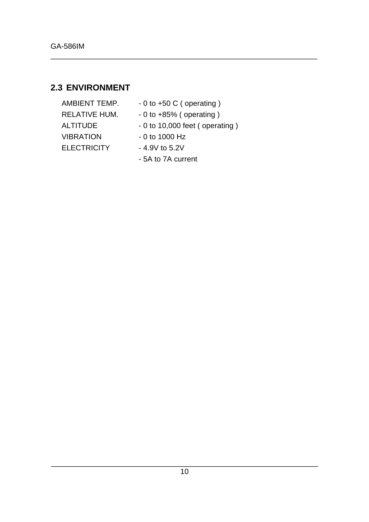#### **2.3 ENVIRONMENT**

VIBRATION - 0 to 1000 Hz ELECTRICITY - 4.9V to 5.2V

AMBIENT TEMP. - 0 to +50 C ( operating )

- RELATIVE HUM. 0 to +85% (operating )
- ALTITUDE 0 to 10,000 feet ( operating )
	-
	-
	- 5A to 7A current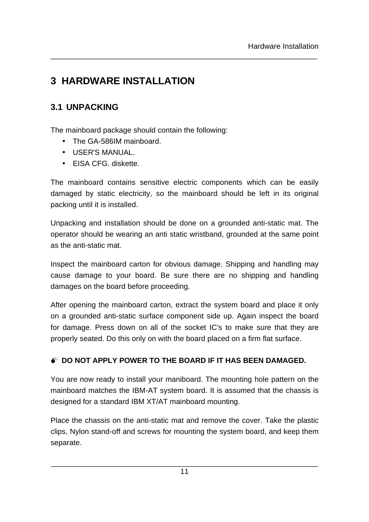# **3 HARDWARE INSTALLATION**

### **3.1 UNPACKING**

The mainboard package should contain the following:

- The GA-586IM mainboard.
- USER'S MANUAL.
- EISA CFG. diskette.

The mainboard contains sensitive electric components which can be easily damaged by static electricity, so the mainboard should be left in its original packing until it is installed.

\_\_\_\_\_\_\_\_\_\_\_\_\_\_\_\_\_\_\_\_\_\_\_\_\_\_\_\_\_\_\_\_\_\_\_\_\_\_\_\_\_\_\_\_\_\_\_\_\_\_\_\_\_\_\_\_\_\_\_\_\_\_\_\_

Unpacking and installation should be done on a grounded anti-static mat. The operator should be wearing an anti static wristband, grounded at the same point as the anti-static mat.

Inspect the mainboard carton for obvious damage. Shipping and handling may cause damage to your board. Be sure there are no shipping and handling damages on the board before proceeding.

After opening the mainboard carton, extract the system board and place it only on a grounded anti-static surface component side up. Again inspect the board for damage. Press down on all of the socket IC's to make sure that they are properly seated. Do this only on with the board placed on a firm flat surface.

#### **M DO NOT APPLY POWER TO THE BOARD IF IT HAS BEEN DAMAGED.**

You are now ready to install your maniboard. The mounting hole pattern on the mainboard matches the IBM-AT system board. It is assumed that the chassis is designed for a standard IBM XT/AT mainboard mounting.

Place the chassis on the anti-static mat and remove the cover. Take the plastic clips, Nylon stand-off and screws for mounting the system board, and keep them separate.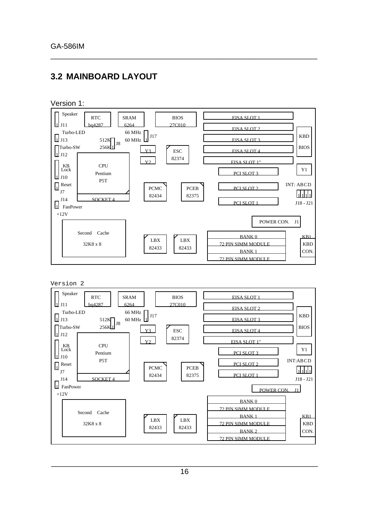#### **3.2 MAINBOARD LAYOUT**

Version 1:



\_\_\_\_\_\_\_\_\_\_\_\_\_\_\_\_\_\_\_\_\_\_\_\_\_\_\_\_\_\_\_\_\_\_\_\_\_\_\_\_\_\_\_\_\_\_\_\_\_\_\_\_\_\_\_\_\_\_\_\_\_\_\_\_

Version 2

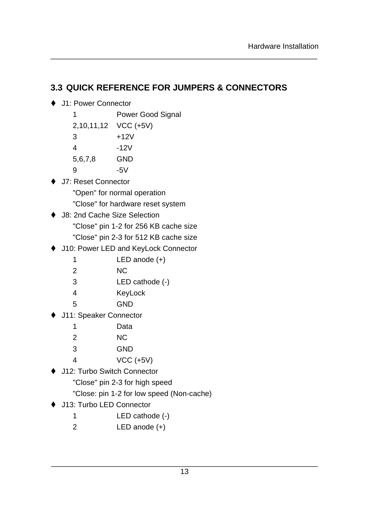### **3.3 QUICK REFERENCE FOR JUMPERS & CONNECTORS**

- ♦ J1: Power Connector
	- 1 Power Good Signal
	- 2,10,11,12 VCC (+5V)  $3 +12V$ 4 -12V
	- 5,6,7,8 GND
	- 9 -5V
- J7: Reset Connector "Open" for normal operation "Close" for hardware reset system
- J8: 2nd Cache Size Selection "Close" pin 1-2 for 256 KB cache size "Close" pin 2-3 for 512 KB cache size
- If J10: Power LED and KeyLock Connector
	- 1 LED anode (+)
	- 2 NC
	- 3 LED cathode (-)
	- 4 KeyLock
	- 5 GND
- J11: Speaker Connector
	- 1 Data 2 NC 3 GND 4 VCC (+5V)
- J12: Turbo Switch Connector
	- "Close" pin 2-3 for high speed
	- "Close: pin 1-2 for low speed (Non-cache)
- If J13: Turbo LED Connector
	- 1 LED cathode (-)
	- 2 LED anode (+)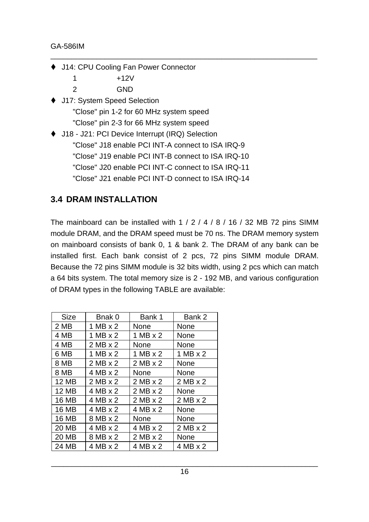- ♦ J14: CPU Cooling Fan Power Connector
	- $1 +12V$
	- 2 GND
- ♦ J17: System Speed Selection "Close" pin 1-2 for 60 MHz system speed "Close" pin 2-3 for 66 MHz system speed
- J18 J21: PCI Device Interrupt (IRQ) Selection "Close" J18 enable PCI INT-A connect to ISA IRQ-9 "Close" J19 enable PCI INT-B connect to ISA IRQ-10 "Close" J20 enable PCI INT-C connect to ISA IRQ-11 "Close" J21 enable PCI INT-D connect to ISA IRQ-14

#### **3.4 DRAM INSTALLATION**

The mainboard can be installed with  $1 / 2 / 4 / 8 / 16 / 32$  MB 72 pins SIMM module DRAM, and the DRAM speed must be 70 ns. The DRAM memory system on mainboard consists of bank 0, 1 & bank 2. The DRAM of any bank can be installed first. Each bank consist of 2 pcs, 72 pins SIMM module DRAM. Because the 72 pins SIMM module is 32 bits width, using 2 pcs which can match a 64 bits system. The total memory size is 2 - 192 MB, and various configuration of DRAM types in the following TABLE are available:

| <b>Size</b>  | Bnak 0            | Bank 1            | Bank 2            |
|--------------|-------------------|-------------------|-------------------|
| 2 MB         | $1$ MB $\times$ 2 | None              | None              |
| 4 MB         | $1 MB \times 2$   | $1$ MB $\times$ 2 | None              |
| 4 MB         | $2MB \times 2$    | None              | None              |
| 6 MB         | $1$ MB $\times$ 2 | $1$ MB $\times$ 2 | $1$ MB $\times$ 2 |
| 8 MB         | $2MB \times 2$    | $2MB \times 2$    | None              |
| 8 MB         | $4 MB \times 2$   | None              | None              |
| <b>12 MB</b> | $2 MB \times 2$   | $2MB \times 2$    | $2 MB \times 2$   |
| <b>12 MB</b> | $4 MB \times 2$   | $2MB \times 2$    | None              |
| 16 MB        | 4 MB x 2          | $2 MB \times 2$   | $2 MB \times 2$   |
| 16 MB        | $4 MB \times 2$   | 4 MB x 2          | None              |
| 16 MB        | 8 MB x 2          | None              | <b>None</b>       |
| 20 MB        | 4 MB x 2          | 4 MB x 2          | $2 MB \times 2$   |
| 20 MB        | 8 MB x 2          | $2MB \times 2$    | None              |
| 24 MB        | 4 MB x 2          | 4 MB x 2          | 4 MB x 2          |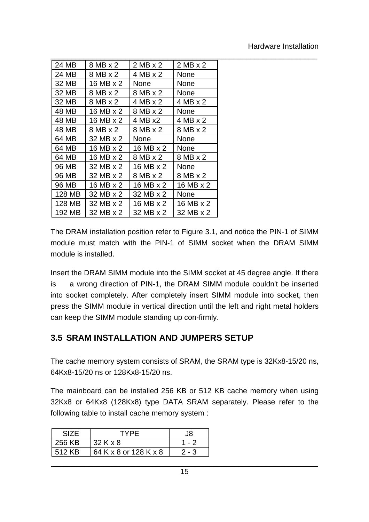| 24 MB  | 8 MB x 2  | $2 MB \times 2$ | $2 MB \times 2$ |
|--------|-----------|-----------------|-----------------|
| 24 MB  | 8 MB x 2  | $4 MB \times 2$ | None            |
| 32 MB  | 16 MB x 2 | <b>None</b>     | None            |
| 32 MB  | 8 MB x 2  | 8 MB x 2        | None            |
| 32 MB  | 8 MB x 2  | 4 MB x 2        | 4 MB x 2        |
| 48 MB  | 16 MB x 2 | 8 MB x 2        | None            |
| 48 MB  | 16 MB x 2 | 4 MB x2         | 4 MB x 2        |
| 48 MB  | 8 MB x 2  | 8 MB x 2        | 8 MB x 2        |
| 64 MB  | 32 MB x 2 | <b>None</b>     | None            |
| 64 MB  | 16 MB x 2 | 16 MB x 2       | <b>None</b>     |
| 64 MB  | 16 MB x 2 | 8 MB x 2        | 8 MB x 2        |
| 96 MB  | 32 MB x 2 | 16 MB x 2       | <b>None</b>     |
| 96 MB  | 32 MB x 2 | 8 MB x 2        | 8 MB x 2        |
| 96 MB  | 16 MB x 2 | 16 MB x 2       | 16 MB x 2       |
| 128 MB | 32 MB x 2 | 32 MB x 2       | None            |
| 128 MB | 32 MB x 2 | 16 MB x 2       | 16 MB x 2       |
| 192 MB | 32 MB x 2 | 32 MB x 2       | 32 MB x 2       |

The DRAM installation position refer to Figure 3.1, and notice the PIN-1 of SIMM module must match with the PIN-1 of SIMM socket when the DRAM SIMM module is installed.

Insert the DRAM SIMM module into the SIMM socket at 45 degree angle. If there is a wrong direction of PIN-1, the DRAM SIMM module couldn't be inserted into socket completely. After completely insert SIMM module into socket, then press the SIMM module in vertical direction until the left and right metal holders can keep the SIMM module standing up con-firmly.

#### **3.5 SRAM INSTALLATION AND JUMPERS SETUP**

The cache memory system consists of SRAM, the SRAM type is 32Kx8-15/20 ns, 64Kx8-15/20 ns or 128Kx8-15/20 ns.

The mainboard can be installed 256 KB or 512 KB cache memory when using 32Kx8 or 64Kx8 (128Kx8) type DATA SRAM separately. Please refer to the following table to install cache memory system :

| SIZF   | <b>TYPF</b>           |       |
|--------|-----------------------|-------|
| 256 KB | 32 K x 8              | 1 - 2 |
| 512 KB | 64 K x 8 or 128 K x 8 | 2 - 3 |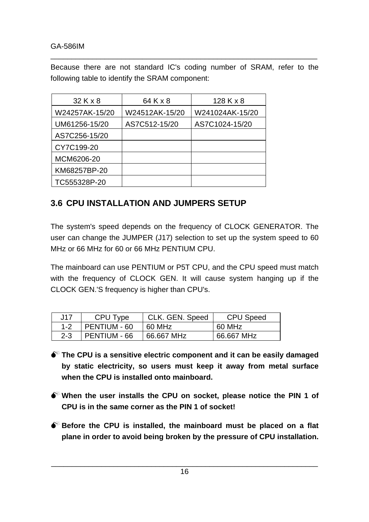GA-586IM

Because there are not standard IC's coding number of SRAM, refer to the following table to identify the SRAM component:

\_\_\_\_\_\_\_\_\_\_\_\_\_\_\_\_\_\_\_\_\_\_\_\_\_\_\_\_\_\_\_\_\_\_\_\_\_\_\_\_\_\_\_\_\_\_\_\_\_\_\_\_\_\_\_\_\_\_\_\_\_\_\_\_

| 32 K x 8       | 64 K x 8       | $128$ K x 8     |
|----------------|----------------|-----------------|
| W24257AK-15/20 | W24512AK-15/20 | W241024AK-15/20 |
| UM61256-15/20  | AS7C512-15/20  | AS7C1024-15/20  |
| AS7C256-15/20  |                |                 |
| CY7C199-20     |                |                 |
| MCM6206-20     |                |                 |
| KM68257BP-20   |                |                 |
| TC555328P-20   |                |                 |

### **3.6 CPU INSTALLATION AND JUMPERS SETUP**

The system's speed depends on the frequency of CLOCK GENERATOR. The user can change the JUMPER (J17) selection to set up the system speed to 60 MHz or 66 MHz for 60 or 66 MHz PENTIUM CPU.

The mainboard can use PENTIUM or P5T CPU, and the CPU speed must match with the frequency of CLOCK GEN. It will cause system hanging up if the CLOCK GEN.'S frequency is higher than CPU's.

| .117    | <b>CPU Type</b> | CLK. GEN. Speed | CPU Speed  |
|---------|-----------------|-----------------|------------|
| $1 - 2$ | PENTIUM - 60    | 60 MHz          | 60 MHz     |
| $2 - 3$ | l PENTIUM - 66  | 66.667 MHz      | 66.667 MHz |

- $\bullet^*$  The CPU is a sensitive electric component and it can be easily damaged **by static electricity, so users must keep it away from metal surface when the CPU is installed onto mainboard.**
- $\bullet^*$  When the user installs the CPU on socket, please notice the PIN 1 of **CPU is in the same corner as the PIN 1 of socket!**
- $\bullet^*$  Before the CPU is installed, the mainboard must be placed on a flat **plane in order to avoid being broken by the pressure of CPU installation.**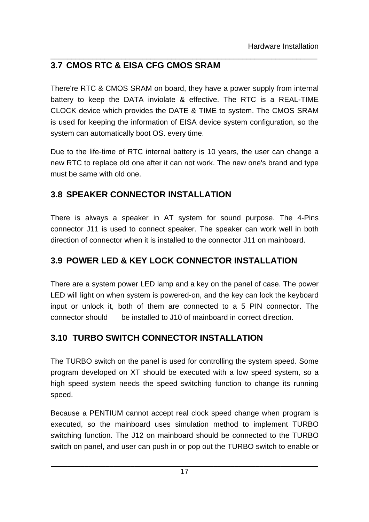### **3.7 CMOS RTC & EISA CFG CMOS SRAM**

There're RTC & CMOS SRAM on board, they have a power supply from internal battery to keep the DATA inviolate & effective. The RTC is a REAL-TIME CLOCK device which provides the DATE & TIME to system. The CMOS SRAM is used for keeping the information of EISA device system configuration, so the system can automatically boot OS. every time.

\_\_\_\_\_\_\_\_\_\_\_\_\_\_\_\_\_\_\_\_\_\_\_\_\_\_\_\_\_\_\_\_\_\_\_\_\_\_\_\_\_\_\_\_\_\_\_\_\_\_\_\_\_\_\_\_\_\_\_\_\_\_\_\_

Due to the life-time of RTC internal battery is 10 years, the user can change a new RTC to replace old one after it can not work. The new one's brand and type must be same with old one.

### **3.8 SPEAKER CONNECTOR INSTALLATION**

There is always a speaker in AT system for sound purpose. The 4-Pins connector J11 is used to connect speaker. The speaker can work well in both direction of connector when it is installed to the connector J11 on mainboard.

# **3.9 POWER LED & KEY LOCK CONNECTOR INSTALLATION**

There are a system power LED lamp and a key on the panel of case. The power LED will light on when system is powered-on, and the key can lock the keyboard input or unlock it, both of them are connected to a 5 PIN connector. The connector should be installed to J10 of mainboard in correct direction.

# **3.10 TURBO SWITCH CONNECTOR INSTALLATION**

The TURBO switch on the panel is used for controlling the system speed. Some program developed on XT should be executed with a low speed system, so a high speed system needs the speed switching function to change its running speed.

Because a PENTIUM cannot accept real clock speed change when program is executed, so the mainboard uses simulation method to implement TURBO switching function. The J12 on mainboard should be connected to the TURBO switch on panel, and user can push in or pop out the TURBO switch to enable or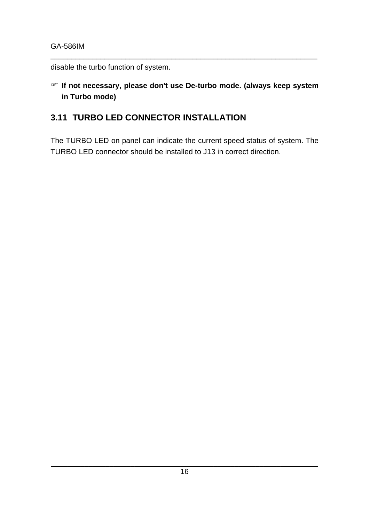disable the turbo function of system.

**F If not necessary, please don't use De-turbo mode. (always keep system in Turbo mode)**

\_\_\_\_\_\_\_\_\_\_\_\_\_\_\_\_\_\_\_\_\_\_\_\_\_\_\_\_\_\_\_\_\_\_\_\_\_\_\_\_\_\_\_\_\_\_\_\_\_\_\_\_\_\_\_\_\_\_\_\_\_\_\_\_

#### **3.11 TURBO LED CONNECTOR INSTALLATION**

The TURBO LED on panel can indicate the current speed status of system. The TURBO LED connector should be installed to J13 in correct direction.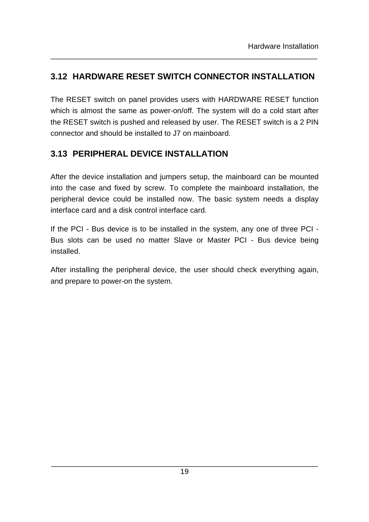#### **3.12 HARDWARE RESET SWITCH CONNECTOR INSTALLATION**

\_\_\_\_\_\_\_\_\_\_\_\_\_\_\_\_\_\_\_\_\_\_\_\_\_\_\_\_\_\_\_\_\_\_\_\_\_\_\_\_\_\_\_\_\_\_\_\_\_\_\_\_\_\_\_\_\_\_\_\_\_\_\_\_

The RESET switch on panel provides users with HARDWARE RESET function which is almost the same as power-on/off. The system will do a cold start after the RESET switch is pushed and released by user. The RESET switch is a 2 PIN connector and should be installed to J7 on mainboard.

#### **3.13 PERIPHERAL DEVICE INSTALLATION**

After the device installation and jumpers setup, the mainboard can be mounted into the case and fixed by screw. To complete the mainboard installation, the peripheral device could be installed now. The basic system needs a display interface card and a disk control interface card.

If the PCI - Bus device is to be installed in the system, any one of three PCI - Bus slots can be used no matter Slave or Master PCI - Bus device being installed.

After installing the peripheral device, the user should check everything again, and prepare to power-on the system.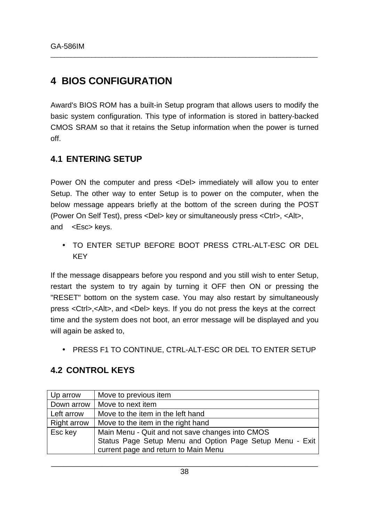# **4 BIOS CONFIGURATION**

Award's BIOS ROM has a built-in Setup program that allows users to modify the basic system configuration. This type of information is stored in battery-backed CMOS SRAM so that it retains the Setup information when the power is turned off.

\_\_\_\_\_\_\_\_\_\_\_\_\_\_\_\_\_\_\_\_\_\_\_\_\_\_\_\_\_\_\_\_\_\_\_\_\_\_\_\_\_\_\_\_\_\_\_\_\_\_\_\_\_\_\_\_\_\_\_\_\_\_\_\_\_\_\_\_\_\_\_\_\_\_\_\_\_\_

#### **4.1 ENTERING SETUP**

Power ON the computer and press <Del> immediately will allow you to enter Setup. The other way to enter Setup is to power on the computer, when the below message appears briefly at the bottom of the screen during the POST (Power On Self Test), press <Del> key or simultaneously press <Ctrl>, <Alt>, and <Esc> keys.

• TO ENTER SETUP BEFORE BOOT PRESS CTRL-ALT-ESC OR DEL **KEY** 

If the message disappears before you respond and you still wish to enter Setup, restart the system to try again by turning it OFF then ON or pressing the "RESET" bottom on the system case. You may also restart by simultaneously press <Ctrl>,<Alt>, and <Del> keys. If you do not press the keys at the correct time and the system does not boot, an error message will be displayed and you will again be asked to,

• PRESS F1 TO CONTINUE, CTRL-ALT-ESC OR DEL TO ENTER SETUP

#### **4.2 CONTROL KEYS**

| Up arrow           | Move to previous item                                    |
|--------------------|----------------------------------------------------------|
| Down arrow         | Move to next item                                        |
| Left arrow         | Move to the item in the left hand                        |
| <b>Right arrow</b> | Move to the item in the right hand                       |
| Esc key            | Main Menu - Quit and not save changes into CMOS          |
|                    | Status Page Setup Menu and Option Page Setup Menu - Exit |
|                    | current page and return to Main Menu                     |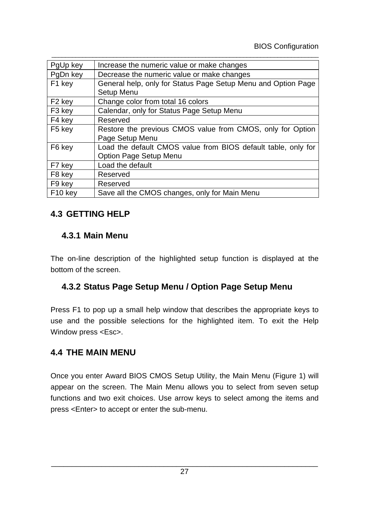| PgUp key            | Increase the numeric value or make changes                    |
|---------------------|---------------------------------------------------------------|
| PgDn key            | Decrease the numeric value or make changes                    |
| F1 key              | General help, only for Status Page Setup Menu and Option Page |
|                     | <b>Setup Menu</b>                                             |
| F <sub>2</sub> key  | Change color from total 16 colors                             |
| F <sub>3</sub> key  | Calendar, only for Status Page Setup Menu                     |
| F4 key              | Reserved                                                      |
| F <sub>5</sub> key  | Restore the previous CMOS value from CMOS, only for Option    |
|                     | Page Setup Menu                                               |
| F6 key              | Load the default CMOS value from BIOS default table, only for |
|                     | <b>Option Page Setup Menu</b>                                 |
| F7 key              | Load the default                                              |
| F <sub>8</sub> key  | Reserved                                                      |
| F <sub>9</sub> key  | Reserved                                                      |
| F <sub>10</sub> key | Save all the CMOS changes, only for Main Menu                 |

\_\_\_\_\_\_\_\_\_\_\_\_\_\_\_\_\_\_\_\_\_\_\_\_\_\_\_\_\_\_\_\_\_\_\_\_\_\_\_\_\_\_\_\_\_\_\_\_\_\_\_\_\_\_\_\_\_\_\_\_\_\_\_\_\_\_\_\_\_\_\_\_\_\_\_\_\_\_

#### **4.3 GETTING HELP**

#### **4.3.1 Main Menu**

The on-line description of the highlighted setup function is displayed at the bottom of the screen.

#### **4.3.2 Status Page Setup Menu / Option Page Setup Menu**

Press F1 to pop up a small help window that describes the appropriate keys to use and the possible selections for the highlighted item. To exit the Help Window press <Esc>.

#### **4.4 THE MAIN MENU**

Once you enter Award BIOS CMOS Setup Utility, the Main Menu (Figure 1) will appear on the screen. The Main Menu allows you to select from seven setup functions and two exit choices. Use arrow keys to select among the items and press <Enter> to accept or enter the sub-menu.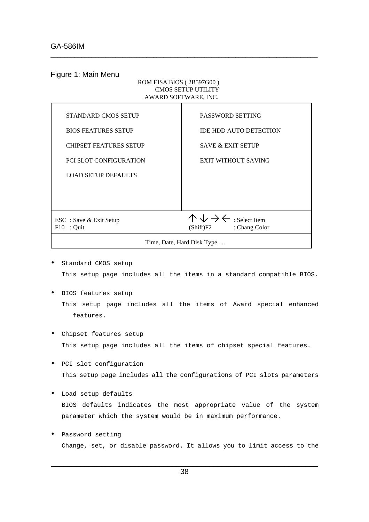#### Figure 1: Main Menu

#### ROM EISA BIOS ( 2B597G00 ) CMOS SETUP UTILITY AWARD SOFTWARE, INC.

| <b>STANDARD CMOS SETUP</b>    | PASSWORD SETTING                                   |  |  |
|-------------------------------|----------------------------------------------------|--|--|
| <b>BIOS FEATURES SETUP</b>    | <b>IDE HDD AUTO DETECTION</b>                      |  |  |
| <b>CHIPSET FEATURES SETUP</b> | <b>SAVE &amp; EXIT SETUP</b>                       |  |  |
| <b>PCI SLOT CONFIGURATION</b> | <b>EXIT WITHOUT SAVING</b>                         |  |  |
| <b>LOAD SETUP DEFAULTS</b>    |                                                    |  |  |
|                               |                                                    |  |  |
|                               |                                                    |  |  |
| ESC : Save & Exit Setup       | $\wedge \vee \rightarrow \leftarrow$ : Select Item |  |  |
| $F10$ : Quit                  | (Shift)F2 : Chang Color                            |  |  |
| Time, Date, Hard Disk Type,   |                                                    |  |  |

- Standard CMOS setup This setup page includes all the items in a standard compatible BIOS.
- BIOS features setup This setup page includes all the items of Award special enhanced features.
- Chipset features setup This setup page includes all the items of chipset special features.
- PCI slot configuration This setup page includes all the configurations of PCI slots parameters
- Load setup defaults BIOS defaults indicates the most appropriate value of the system parameter which the system would be in maximum performance.
- Password setting Change, set, or disable password. It allows you to limit access to the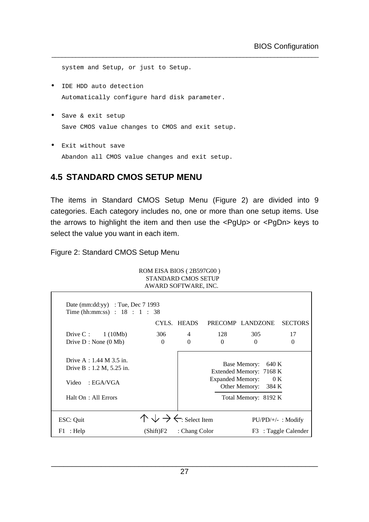system and Setup, or just to Setup.

- IDE HDD auto detection Automatically configure hard disk parameter.
- Save & exit setup Save CMOS value changes to CMOS and exit setup.
- Exit without save Abandon all CMOS value changes and exit setup.

#### **4.5 STANDARD CMOS SETUP MENU**

The items in Standard CMOS Setup Menu (Figure 2) are divided into 9 categories. Each category includes no, one or more than one setup items. Use the arrows to highlight the item and then use the <PgUp> or <PgDn> keys to select the value you want in each item.

\_\_\_\_\_\_\_\_\_\_\_\_\_\_\_\_\_\_\_\_\_\_\_\_\_\_\_\_\_\_\_\_\_\_\_\_\_\_\_\_\_\_\_\_\_\_\_\_\_\_\_\_\_\_\_\_\_\_\_\_\_\_\_\_\_\_\_\_\_\_\_\_\_\_\_\_\_\_

Figure 2: Standard CMOS Setup Menu

| <b>STANDARD CMOS SETUP</b><br>AWARD SOFTWARE, INC.                                                        |                                                    |                |          |                                                                                                                      |                      |  |  |  |  |
|-----------------------------------------------------------------------------------------------------------|----------------------------------------------------|----------------|----------|----------------------------------------------------------------------------------------------------------------------|----------------------|--|--|--|--|
| Date (mm:dd:yy) : Tue, Dec $7\,1993$<br>Time (hh:mm:ss) : $18 : 1 : 38$                                   |                                                    |                |          |                                                                                                                      |                      |  |  |  |  |
|                                                                                                           |                                                    | CYLS. HEADS    |          | PRECOMP LANDZONE                                                                                                     | <b>SECTORS</b>       |  |  |  |  |
| Drive $C: 1(10Mb)$                                                                                        | 306                                                | $\overline{4}$ | 128      | 305                                                                                                                  | 17                   |  |  |  |  |
| Drive $D : None (0 Mb)$                                                                                   | $\Omega$                                           | $\Omega$       | $\Omega$ | $\Omega$                                                                                                             | $\Omega$             |  |  |  |  |
| Drive A : $1.44$ M $3.5$ in.<br>Drive B : $1.2 M$ , $5.25 in$ .<br>Video : EGAVGA<br>Halt On : All Errors |                                                    |                |          | Base Memory: 640 K<br>Extended Memory: 7168 K<br>Expanded Memory: 0 K<br>Other Memory: 384 K<br>Total Memory: 8192 K |                      |  |  |  |  |
| ESC: Quit                                                                                                 | $\wedge \vee \rightarrow \leftarrow$ : Select Item |                |          |                                                                                                                      | $PU/PD/+/-$ : Modify |  |  |  |  |
| $F1$ : Help                                                                                               | (Shift)F2                                          | : Chang Color  |          |                                                                                                                      | F3 : Taggle Calender |  |  |  |  |

ROM EISA BIOS ( 2B597G00 )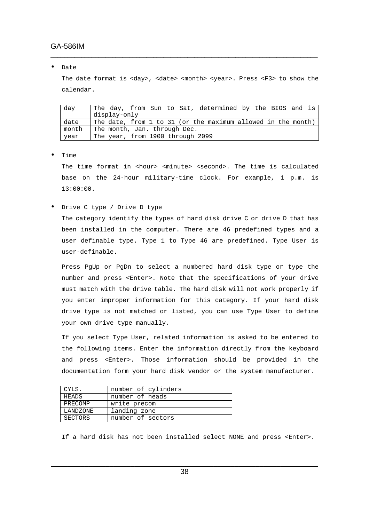#### • Date

The date format is <day>, <date> <month> <year>. Press <F3> to show the calendar.

\_\_\_\_\_\_\_\_\_\_\_\_\_\_\_\_\_\_\_\_\_\_\_\_\_\_\_\_\_\_\_\_\_\_\_\_\_\_\_\_\_\_\_\_\_\_\_\_\_\_\_\_\_\_\_\_\_\_\_\_\_\_\_\_\_\_\_\_\_\_\_\_\_\_\_\_\_\_

| day   | The day, from Sun to Sat, determined by the BIOS and is      |
|-------|--------------------------------------------------------------|
|       | display-only                                                 |
| date  | The date, from 1 to 31 (or the maximum allowed in the month) |
| month | The month, Jan. through Dec.                                 |
| year  | The year, from 1900 through 2099                             |

• Time

The time format in <hour> <minute> <second>. The time is calculated base on the 24-hour military-time clock. For example, 1 p.m. is 13:00:00.

• Drive C type / Drive D type

The category identify the types of hard disk drive C or drive D that has been installed in the computer. There are 46 predefined types and a user definable type. Type 1 to Type 46 are predefined. Type User is user-definable.

Press PgUp or PgDn to select a numbered hard disk type or type the number and press <Enter>. Note that the specifications of your drive must match with the drive table. The hard disk will not work properly if you enter improper information for this category. If your hard disk drive type is not matched or listed, you can use Type User to define your own drive type manually.

If you select Type User, related information is asked to be entered to the following items. Enter the information directly from the keyboard and press <Enter>. Those information should be provided in the documentation form your hard disk vendor or the system manufacturer.

| CYLS.          | number of cylinders |
|----------------|---------------------|
| HEADS          | number of heads     |
| PRECOMP        | write precom        |
| LANDZONE       | landing zone        |
| <b>SECTORS</b> | number of sectors   |

If a hard disk has not been installed select NONE and press <Enter>.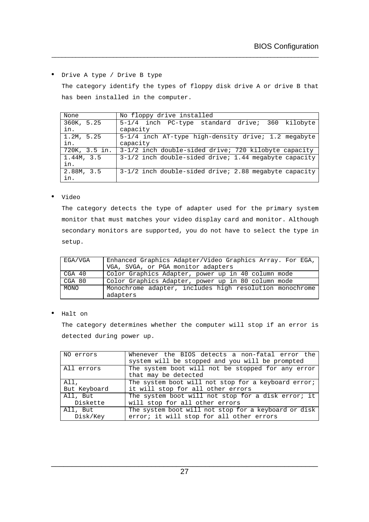• Drive A type / Drive B type

The category identify the types of floppy disk drive A or drive B that has been installed in the computer.

\_\_\_\_\_\_\_\_\_\_\_\_\_\_\_\_\_\_\_\_\_\_\_\_\_\_\_\_\_\_\_\_\_\_\_\_\_\_\_\_\_\_\_\_\_\_\_\_\_\_\_\_\_\_\_\_\_\_\_\_\_\_\_\_\_\_\_\_\_\_\_\_\_\_\_\_\_\_

| None          | No floppy drive installed                               |
|---------------|---------------------------------------------------------|
| 360K, 5.25    | 5-1/4 inch PC-type standard drive; 360 kilobyte         |
| in.           | capacity                                                |
| 1.2M, 5.25    | 5-1/4 inch AT-type high-density drive; 1.2 megabyte     |
| in.           | capacity                                                |
| 720K, 3.5 in. | 3-1/2 inch double-sided drive; 720 kilobyte capacity    |
| 1.44M, 3.5    | 3-1/2 inch double-sided drive; 1.44 megabyte capacity   |
| in.           |                                                         |
| 2.88M, 3.5    | $3-1/2$ inch double-sided drive; 2.88 megabyte capacity |
| in.           |                                                         |

• Video

The category detects the type of adapter used for the primary system monitor that must matches your video display card and monitor. Although secondary monitors are supported, you do not have to select the type in setup.

| EGA/VGA     | Enhanced Graphics Adapter/Video Graphics Array. For EGA,<br>VGA, SVGA, or PGA monitor adapters |
|-------------|------------------------------------------------------------------------------------------------|
| CGA 40      | Color Graphics Adapter, power up in 40 column mode                                             |
| CGA 80      | Color Graphics Adapter, power up in 80 column mode                                             |
| <b>MONO</b> | Monochrome adapter, includes high resolution monochrome<br>adapters                            |

• Halt on

The category determines whether the computer will stop if an error is detected during power up.

| NO errors            | Whenever the BIOS detects a non-fatal error the<br>system will be stopped and you will be prompted |
|----------------------|----------------------------------------------------------------------------------------------------|
| All errors           | The system boot will not be stopped for any error<br>that may be detected                          |
| All,                 | The system boot will not stop for a keyboard error;                                                |
| But Keyboard         | it will stop for all other errors                                                                  |
| All, But             | The system boot will not stop for a disk error; it                                                 |
| Diskette             | will stop for all other errors                                                                     |
| All, But<br>Disk/Key | The system boot will not stop for a keyboard or disk<br>error; it will stop for all other errors   |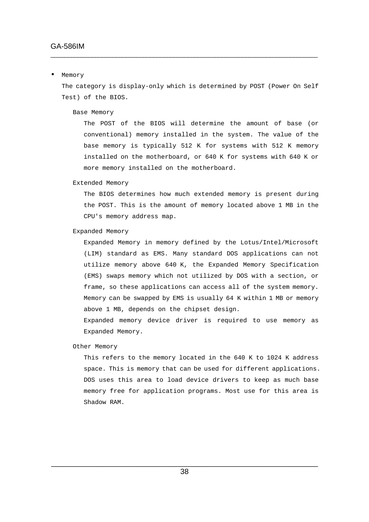#### • Memory

The category is display-only which is determined by POST (Power On Self Test) of the BIOS.

\_\_\_\_\_\_\_\_\_\_\_\_\_\_\_\_\_\_\_\_\_\_\_\_\_\_\_\_\_\_\_\_\_\_\_\_\_\_\_\_\_\_\_\_\_\_\_\_\_\_\_\_\_\_\_\_\_\_\_\_\_\_\_\_\_\_\_\_\_\_\_\_\_\_\_\_\_\_

#### Base Memory

The POST of the BIOS will determine the amount of base (or conventional) memory installed in the system. The value of the base memory is typically 512 K for systems with 512 K memory installed on the motherboard, or 640 K for systems with 640 K or more memory installed on the motherboard.

#### Extended Memory

The BIOS determines how much extended memory is present during the POST. This is the amount of memory located above 1 MB in the CPU's memory address map.

#### Expanded Memory

Expanded Memory in memory defined by the Lotus/Intel/Microsoft (LIM) standard as EMS. Many standard DOS applications can not utilize memory above 640 K, the Expanded Memory Specification (EMS) swaps memory which not utilized by DOS with a section, or frame, so these applications can access all of the system memory. Memory can be swapped by EMS is usually 64 K within 1 MB or memory above 1 MB, depends on the chipset design.

Expanded memory device driver is required to use memory as Expanded Memory.

#### Other Memory

This refers to the memory located in the 640 K to 1024 K address space. This is memory that can be used for different applications. DOS uses this area to load device drivers to keep as much base memory free for application programs. Most use for this area is Shadow RAM.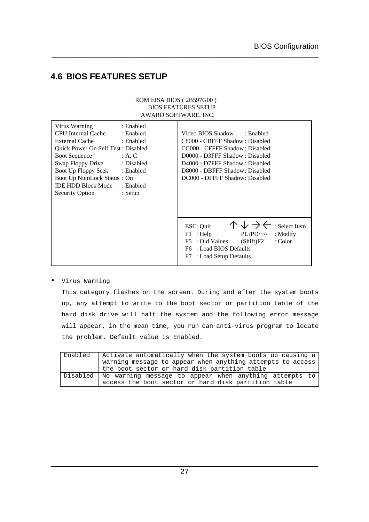#### **4.6 BIOS FEATURES SETUP**

#### ROM EISA BIOS ( 2B597G00 ) BIOS FEATURES SETUP AWARD SOFTWARE, INC.

\_\_\_\_\_\_\_\_\_\_\_\_\_\_\_\_\_\_\_\_\_\_\_\_\_\_\_\_\_\_\_\_\_\_\_\_\_\_\_\_\_\_\_\_\_\_\_\_\_\_\_\_\_\_\_\_\_\_\_\_\_\_\_\_\_\_\_\_\_\_\_\_\_\_\_\_\_\_

| Virus Warning                      | : Enabled  |                                                                                                             |
|------------------------------------|------------|-------------------------------------------------------------------------------------------------------------|
| CPU Internal Cache                 | : Enabled  | Video BIOS Shadow<br>: Enabled                                                                              |
| External Cache                     | : Enabled  | C8000 - CBFFF Shadow: Disabled                                                                              |
| Quick Power On Self Test: Disabled |            | CC000 - CFFFF Shadow: Disabled                                                                              |
| <b>Boot Sequence</b>               | : A, C     | D0000 - D3FFF Shadow: Disabled                                                                              |
| Swap Floppy Drive                  | : Disabled | D4000 - D7FFF Shadow: Disabled                                                                              |
| Boot Up Floppy Seek                | : Enabled  | D8000 - DBFFF Shadow: Disabled                                                                              |
| Boot Up NumLock Status: On         |            | DC000 - DFFFF Shadow: Disabled                                                                              |
| <b>IDE HDD Block Mode</b>          | : Enabled  |                                                                                                             |
| <b>Security Option</b>             | : Setup    |                                                                                                             |
|                                    |            |                                                                                                             |
|                                    |            |                                                                                                             |
|                                    |            |                                                                                                             |
|                                    |            | $\wedge \vee \rightarrow \leftarrow$ : Select Item<br>ESC: Quit<br>$PU/PD/+/-$<br>$F1$ : Help<br>$:$ Modify |
|                                    |            | F5 : Old Values<br>: Color<br>(Shift)F2                                                                     |
|                                    |            | F6 : Load BIOS Defaults                                                                                     |
|                                    |            | F7 : Load Setup Defaults                                                                                    |
|                                    |            |                                                                                                             |

• Virus Warning

This category flashes on the screen. During and after the system boots up, any attempt to write to the boot sector or partition table of the hard disk drive will halt the system and the following error message will appear, in the mean time, you run can anti-virus program to locate the problem. Default value is Enabled.

| Enabled | Activate automatically when the system boots up causing a               |
|---------|-------------------------------------------------------------------------|
|         | warning message to appear when anything attempts to access              |
|         | the boot sector or hard disk partition table                            |
|         | Disabled $\vert$ No warning message to appear when anything attempts to |
|         | access the boot sector or hard disk partition table                     |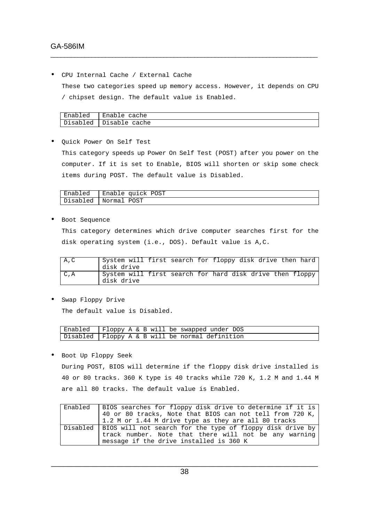• CPU Internal Cache / External Cache These two categories speed up memory access. However, it depends on CPU / chipset design. The default value is Enabled.

\_\_\_\_\_\_\_\_\_\_\_\_\_\_\_\_\_\_\_\_\_\_\_\_\_\_\_\_\_\_\_\_\_\_\_\_\_\_\_\_\_\_\_\_\_\_\_\_\_\_\_\_\_\_\_\_\_\_\_\_\_\_\_\_\_\_\_\_\_\_\_\_\_\_\_\_\_\_

| Enabled | Enable cache             |
|---------|--------------------------|
|         | Disabled   Disable cache |

• Quick Power On Self Test

This category speeds up Power On Self Test (POST) after you power on the computer. If it is set to Enable, BIOS will shorten or skip some check items during POST. The default value is Disabled.

| Enabled   Enable quick POST |
|-----------------------------|
| Disabled   Normal POST      |

• Boot Sequence

This category determines which drive computer searches first for the disk operating system (i.e., DOS). Default value is A,C.

| A, C | System will first search for floppy disk drive then hard               |  |  |  |  |
|------|------------------------------------------------------------------------|--|--|--|--|
|      | disk drive                                                             |  |  |  |  |
| C, A | System will first search for hard disk drive then floppy<br>disk drive |  |  |  |  |

• Swap Floppy Drive The default value is Disabled.

| Enabled   Floppy A & B will be swapped under DOS  |  |  |  |  |  |  |
|---------------------------------------------------|--|--|--|--|--|--|
| Disabled   Floppy A & B will be normal definition |  |  |  |  |  |  |

• Boot Up Floppy Seek

During POST, BIOS will determine if the floppy disk drive installed is 40 or 80 tracks. 360 K type is 40 tracks while 720 K, 1.2 M and 1.44 M are all 80 tracks. The default value is Enabled.

| Enabled   BIOS searches for floppy disk drive to determine if it is  |
|----------------------------------------------------------------------|
| 40 or 80 tracks, Note that BIOS can not tell from 720 K,             |
| 1.2 M or 1.44 M drive type as they are all 80 tracks                 |
| Disabled   BIOS will not search for the type of floppy disk drive by |
| track number. Note that there will not be any warning                |
| message if the drive installed is 360 K                              |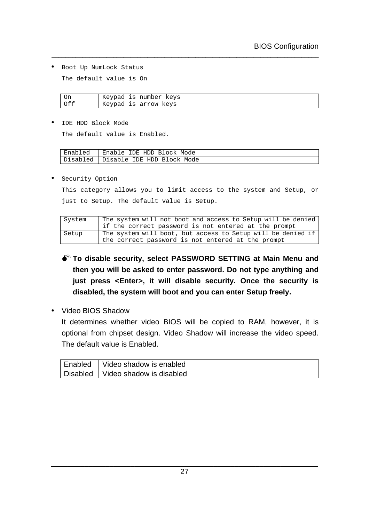• Boot Up NumLock Status

The default value is On

| On | is number keys<br>Keypad |
|----|--------------------------|
|    | Keypad<br>is arrow keys  |

\_\_\_\_\_\_\_\_\_\_\_\_\_\_\_\_\_\_\_\_\_\_\_\_\_\_\_\_\_\_\_\_\_\_\_\_\_\_\_\_\_\_\_\_\_\_\_\_\_\_\_\_\_\_\_\_\_\_\_\_\_\_\_\_\_\_\_\_\_\_\_\_\_\_\_\_\_\_

• IDE HDD Block Mode

The default value is Enabled.

| Enabled  | Enable<br>Block Mode<br>IDE HDD   |
|----------|-----------------------------------|
| Disabled | Block Mode -<br>I Disable IDE HDD |

• Security Option

This category allows you to limit access to the system and Setup, or just to Setup. The default value is Setup.

| System | The system will not boot and access to Setup will be denied |
|--------|-------------------------------------------------------------|
|        | if the correct password is not entered at the prompt        |
| Setup  | The system will boot, but access to Setup will be denied if |
|        | the correct password is not entered at the prompt           |

- $\bullet^*$  To disable security, select PASSWORD SETTING at Main Menu and **then you will be asked to enter password. Do not type anything and just press <Enter>, it will disable security. Once the security is disabled, the system will boot and you can enter Setup freely.**
- Video BIOS Shadow

It determines whether video BIOS will be copied to RAM, however, it is optional from chipset design. Video Shadow will increase the video speed. The default value is Enabled.

| Enabled   Video shadow is enabled   |
|-------------------------------------|
| Disabled   Video shadow is disabled |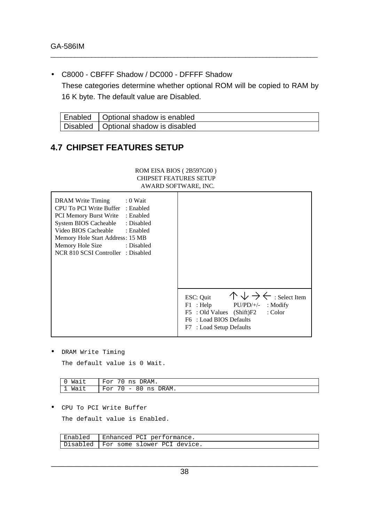• C8000 - CBFFF Shadow / DC000 - DFFFF Shadow

These categories determine whether optional ROM will be copied to RAM by 16 K byte. The default value are Disabled.

\_\_\_\_\_\_\_\_\_\_\_\_\_\_\_\_\_\_\_\_\_\_\_\_\_\_\_\_\_\_\_\_\_\_\_\_\_\_\_\_\_\_\_\_\_\_\_\_\_\_\_\_\_\_\_\_\_\_\_\_\_\_\_\_\_\_\_\_\_\_\_\_\_\_\_\_\_\_

| Enabled   Optional shadow is enabled   |
|----------------------------------------|
| Disabled   Optional shadow is disabled |

#### **4.7 CHIPSET FEATURES SETUP**

#### ROM EISA BIOS ( 2B597G00 ) CHIPSET FEATURES SETUP AWARD SOFTWARE, INC.

| $: 0$ Wait<br>DRAM Write Timing<br>CPU To PCI Write Buffer : Enabled<br>PCI Memory Burst Write<br>: Enabled<br>System BIOS Cacheable<br>: Disabled<br>Video BIOS Cacheable : Enabled<br>Memory Hole Start Address: 15 MB<br>Memory Hole Size : Disabled<br>NCR 810 SCSI Controller: Disabled |                                                                                                                                                                                                               |
|----------------------------------------------------------------------------------------------------------------------------------------------------------------------------------------------------------------------------------------------------------------------------------------------|---------------------------------------------------------------------------------------------------------------------------------------------------------------------------------------------------------------|
|                                                                                                                                                                                                                                                                                              | $\wedge \vee \rightarrow \leftarrow$ : Select Item<br>ESC: Quit<br>$F1$ : Help<br>$:$ Modify<br>$PU/PD/+/-$<br>: Color<br>F5 : Old Values (Shift)F2<br>F6 : Load BIOS Defaults<br>: Load Setup Defaults<br>F7 |

• DRAM Write Timing

The default value is 0 Wait.

| $- -$<br>Wait | DRAM.<br>ີ່<br>ns<br>◡∸                                     |
|---------------|-------------------------------------------------------------|
| $- -$<br>Waıt | DRAM.<br>$F \cap r$<br>ns<br>$\qquad \qquad -$<br>8 U<br>◡∸ |

• CPU To PCI Write Buffer

The default value is Enabled.

| Enabled | Enhanced PCI performance.              |
|---------|----------------------------------------|
|         | Disabled   For some slower PCI device. |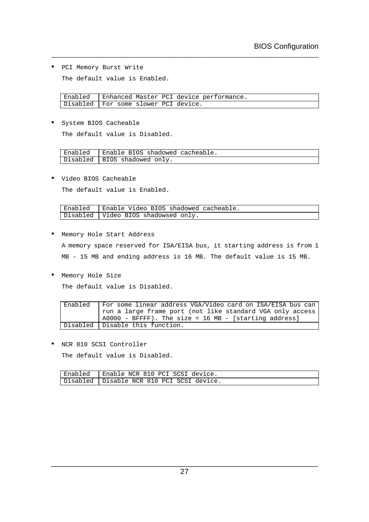• PCI Memory Burst Write

The default value is Enabled.

|                                        |  | Enabled   Enhanced Master PCI device performance. |
|----------------------------------------|--|---------------------------------------------------|
| Disabled   For some slower PCI device. |  |                                                   |

\_\_\_\_\_\_\_\_\_\_\_\_\_\_\_\_\_\_\_\_\_\_\_\_\_\_\_\_\_\_\_\_\_\_\_\_\_\_\_\_\_\_\_\_\_\_\_\_\_\_\_\_\_\_\_\_\_\_\_\_\_\_\_\_\_\_\_\_\_\_\_\_\_\_\_\_\_\_

• System BIOS Cacheable

The default value is Disabled.

| Enabled   Enable BIOS shadowed cacheable. |
|-------------------------------------------|
| Disabled   BIOS shadowed only.            |

• Video BIOS Cacheable

The default value is Enabled.

| Enabled   Enable Video BIOS shadowed cacheable. |
|-------------------------------------------------|
| Disabled   Video BIOS shadowsed only.           |

• Memory Hole Start Address

A memory space reserved for ISA/EISA bus, it starting address is from 1 MB - 15 MB and ending address is 16 MB. The default value is 15 MB.

• Memory Hole Size

The default value is Disabled.

| Enabled | 'For some linear address VGA/Video card on ISA/EISA bus can |
|---------|-------------------------------------------------------------|
|         | run a large frame port (not like standard VGA only access   |
|         | $A0000 - BFFFF$ ). The size = 16 MB - [starting address]    |
|         | Disabled   Disable this function.                           |

• NCR 810 SCSI Controller

The default value is Disabled.

| Enabled | Enable NCR 810 PCI SCSI device.             |
|---------|---------------------------------------------|
|         | Disabled   Disable NCR 810 PCI SCSI device. |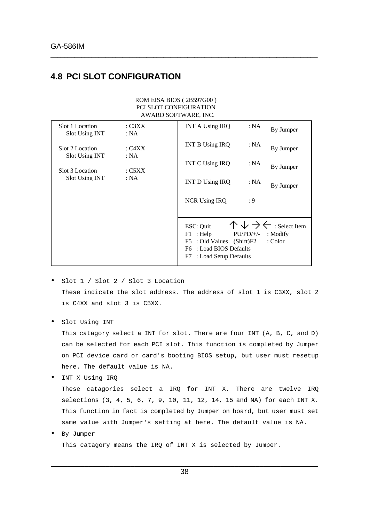#### **4.8 PCI SLOT CONFIGURATION**

|                                   | ROM EISA BIOS (2B597G00)<br><b>PCI SLOT CONFIGURATION</b> | AWARD SOFTWARE, INC.                                                                                            |             |                                                                             |
|-----------------------------------|-----------------------------------------------------------|-----------------------------------------------------------------------------------------------------------------|-------------|-----------------------------------------------------------------------------|
| Slot 1 Location<br>Slot Using INT | : C3XX<br>: NA                                            | <b>INT A Using IRQ</b>                                                                                          | : NA        | By Jumper                                                                   |
| Slot 2 Location<br>Slot Using INT | C4XX<br>: $NA$                                            | <b>INT B Using IRQ</b>                                                                                          | : NA        | By Jumper                                                                   |
| Slot 3 Location                   | : C5XX                                                    | <b>INT C Using IRQ</b>                                                                                          | : NA        | By Jumper                                                                   |
| Slot Using INT                    | : $NA$                                                    | <b>INT D Using IRQ</b>                                                                                          | : NA        | By Jumper                                                                   |
|                                   |                                                           | <b>NCR Using IRQ</b>                                                                                            | : 9         |                                                                             |
|                                   |                                                           | ESC: Quit<br>$F1$ : Help<br>: Old Values (Shift)F2<br>F5<br>F6 : Load BIOS Defaults<br>F7 : Load Setup Defaults | $PU/PD/+/-$ | $\wedge \vee \rightarrow \leftarrow$ : Select Item<br>$:$ Modify<br>: Color |

\_\_\_\_\_\_\_\_\_\_\_\_\_\_\_\_\_\_\_\_\_\_\_\_\_\_\_\_\_\_\_\_\_\_\_\_\_\_\_\_\_\_\_\_\_\_\_\_\_\_\_\_\_\_\_\_\_\_\_\_\_\_\_\_\_\_\_\_\_\_\_\_\_\_\_\_\_\_

- Slot 1 / Slot 2 / Slot 3 Location These indicate the slot address. The address of slot 1 is C3XX, slot 2 is C4XX and slot 3 is C5XX.
- Slot Using INT

This catagory select a INT for slot. There are four INT (A, B, C, and D) can be selected for each PCI slot. This function is completed by Jumper on PCI device card or card's booting BIOS setup, but user must resetup here. The default value is NA.

• INT X Using IRQ

These catagories select a IRQ for INT X. There are twelve IRQ selections (3, 4, 5, 6, 7, 9, 10, 11, 12, 14, 15 and NA) for each INT X. This function in fact is completed by Jumper on board, but user must set same value with Jumper's setting at here. The default value is NA.

• By Jumper

This catagory means the IRQ of INT X is selected by Jumper.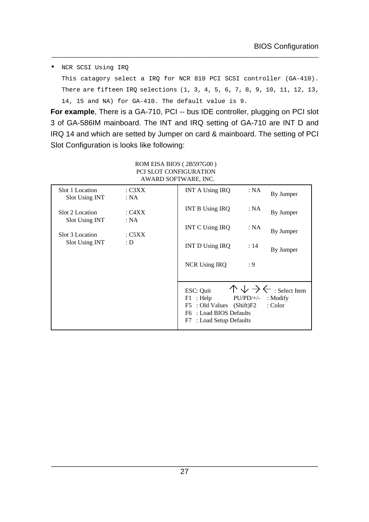• NCR SCSI Using IRQ

This catagory select a IRQ for NCR 810 PCI SCSI controller (GA-410). There are fifteen IRQ selections (1, 3, 4, 5, 6, 7, 8, 9, 10, 11, 12, 13, 14, 15 and NA) for GA-410. The default value is 9.

\_\_\_\_\_\_\_\_\_\_\_\_\_\_\_\_\_\_\_\_\_\_\_\_\_\_\_\_\_\_\_\_\_\_\_\_\_\_\_\_\_\_\_\_\_\_\_\_\_\_\_\_\_\_\_\_\_\_\_\_\_\_\_\_\_\_\_\_\_\_\_\_\_\_\_\_\_\_

**For example**, There is a GA-710, PCI -- bus IDE controller, plugging on PCI slot 3 of GA-586IM mainboard. The INT and IRQ setting of GA-710 are INT D and IRQ 14 and which are setted by Jumper on card & mainboard. The setting of PCI Slot Configuration is looks like following:

|                                   |                  | AWARD SOFTWARE, INC.                                                                                            |             |                                                                             |
|-----------------------------------|------------------|-----------------------------------------------------------------------------------------------------------------|-------------|-----------------------------------------------------------------------------|
| Slot 1 Location<br>Slot Using INT | : C3XX<br>: NA   | <b>INT A Using IRQ</b>                                                                                          | : NA        | By Jumper                                                                   |
| Slot 2 Location<br>Slot Using INT | : $C4XX$<br>: NA | <b>INT B Using IRQ</b>                                                                                          | : NA        | By Jumper                                                                   |
| Slot 3 Location                   | : C5XX           | INT C Using IRQ                                                                                                 | : NA        | By Jumper                                                                   |
| Slot Using INT                    | : D              | <b>INT D Using IRQ</b>                                                                                          | : 14        | By Jumper                                                                   |
|                                   |                  | NCR Using IRQ                                                                                                   | : 9         |                                                                             |
|                                   |                  |                                                                                                                 |             |                                                                             |
|                                   |                  | ESC: Quit<br>$F1$ : Help<br>F5 : Old Values (Shift)F2<br>F6 : Load BIOS Defaults<br>F7<br>: Load Setup Defaults | $PU/PD/+/-$ | $\wedge \vee \rightarrow \leftarrow$ : Select Item<br>$:$ Modify<br>: Color |

ROM EISA BIOS ( 2B597G00 ) PCI SLOT CONFIGURATION AWARD SOFTWARE, INC.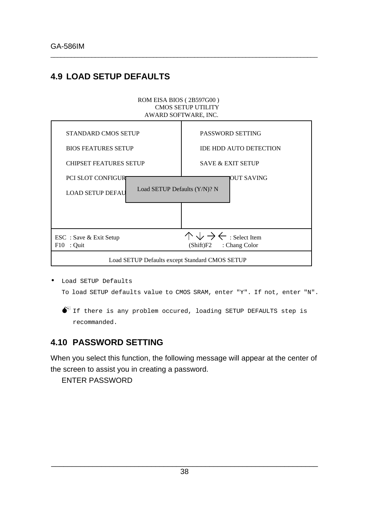#### **4.9 LOAD SETUP DEFAULTS**

| ROM EISA BIOS (2B597G00)  |
|---------------------------|
| <b>CMOS SETUP UTILITY</b> |
| AWARD SOFTWARE, INC.      |

\_\_\_\_\_\_\_\_\_\_\_\_\_\_\_\_\_\_\_\_\_\_\_\_\_\_\_\_\_\_\_\_\_\_\_\_\_\_\_\_\_\_\_\_\_\_\_\_\_\_\_\_\_\_\_\_\_\_\_\_\_\_\_\_\_\_\_\_\_\_\_\_\_\_\_\_\_\_

| <b>STANDARD CMOS SETUP</b>                                                           | PASSWORD SETTING                                                                 |  |  |
|--------------------------------------------------------------------------------------|----------------------------------------------------------------------------------|--|--|
| <b>BIOS FEATURES SETUP</b>                                                           | <b>IDE HDD AUTO DETECTION</b>                                                    |  |  |
| <b>CHIPSET FEATURES SETUP</b>                                                        | <b>SAVE &amp; EXIT SETUP</b>                                                     |  |  |
| <b>PCI SLOT CONFIGURI</b><br>Load SETUP Defaults (Y/N)? N<br><b>LOAD SETUP DEFAU</b> | OUT SAVING                                                                       |  |  |
| ESC : Save & Exit Setup<br>$F10$ : Quit                                              | $\wedge \vee \rightarrow \leftarrow$ : Select Item<br>: Chang Color<br>(Shift)F2 |  |  |
| Load SETUP Defaults except Standard CMOS SETUP                                       |                                                                                  |  |  |

• Load SETUP Defaults To load SETUP defaults value to CMOS SRAM, enter "Y". If not, enter "N".

 $\bullet^{\%}$  If there is any problem occured, loading SETUP DEFAULTS step is recommanded.

#### **4.10 PASSWORD SETTING**

When you select this function, the following message will appear at the center of the screen to assist you in creating a password.

ENTER PASSWORD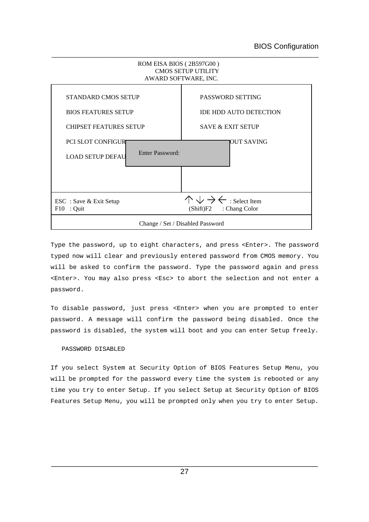| ROM EISA BIOS (2B597G00)<br>AWARD SOFTWARE, INC.                                                                                                                            | <b>CMOS SETUP UTILITY</b>                                                                       |
|-----------------------------------------------------------------------------------------------------------------------------------------------------------------------------|-------------------------------------------------------------------------------------------------|
| <b>STANDARD CMOS SETUP</b><br><b>BIOS FEATURES SETUP</b><br><b>CHIPSET FEATURES SETUP</b><br><b>PCI SLOT CONFIGURI</b><br><b>Enter Password:</b><br><b>LOAD SETUP DEFAU</b> | PASSWORD SETTING<br><b>IDE HDD AUTO DETECTION</b><br><b>SAVE &amp; EXIT SETUP</b><br>OUT SAVING |
| ESC : Save & Exit Setup<br>$F10$ : Quit                                                                                                                                     | $\wedge \vee \rightarrow \leftarrow$ : Select Item<br>(Shift)F2 : Chang Color                   |
| Change / Set / Disabled Password                                                                                                                                            |                                                                                                 |

\_\_\_\_\_\_\_\_\_\_\_\_\_\_\_\_\_\_\_\_\_\_\_\_\_\_\_\_\_\_\_\_\_\_\_\_\_\_\_\_\_\_\_\_\_\_\_\_\_\_\_\_\_\_\_\_\_\_\_\_\_\_\_\_\_\_\_\_\_\_\_\_\_\_\_\_\_\_

Type the password, up to eight characters, and press <Enter>. The password typed now will clear and previously entered password from CMOS memory. You will be asked to confirm the password. Type the password again and press <Enter>. You may also press <Esc> to abort the selection and not enter a password.

To disable password, just press <Enter> when you are prompted to enter password. A message will confirm the password being disabled. Once the password is disabled, the system will boot and you can enter Setup freely.

#### PASSWORD DISABLED

If you select System at Security Option of BIOS Features Setup Menu, you will be prompted for the password every time the system is rebooted or any time you try to enter Setup. If you select Setup at Security Option of BIOS Features Setup Menu, you will be prompted only when you try to enter Setup.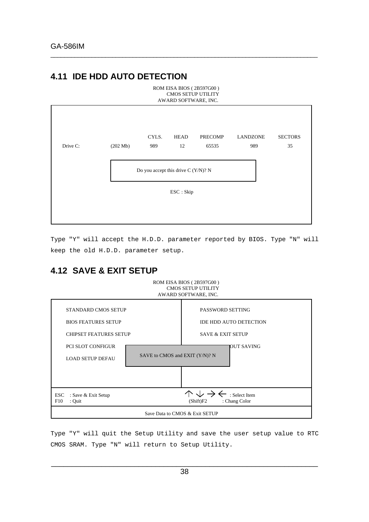#### **4.11 IDE HDD AUTO DETECTION**

|          | ROM EISA BIOS (2B597G00)<br><b>CMOS SETUP UTILITY</b><br>AWARD SOFTWARE, INC. |                                     |                   |                         |                        |                      |
|----------|-------------------------------------------------------------------------------|-------------------------------------|-------------------|-------------------------|------------------------|----------------------|
| Drive C: | (202 Mb)                                                                      | CYLS.<br>989                        | <b>HEAD</b><br>12 | <b>PRECOMP</b><br>65535 | <b>LANDZONE</b><br>989 | <b>SECTORS</b><br>35 |
|          |                                                                               | Do you accept this drive C (Y/N)? N |                   |                         |                        |                      |
|          |                                                                               |                                     | ESC: Skip         |                         |                        |                      |
|          |                                                                               |                                     |                   |                         |                        |                      |

\_\_\_\_\_\_\_\_\_\_\_\_\_\_\_\_\_\_\_\_\_\_\_\_\_\_\_\_\_\_\_\_\_\_\_\_\_\_\_\_\_\_\_\_\_\_\_\_\_\_\_\_\_\_\_\_\_\_\_\_\_\_\_\_\_\_\_\_\_\_\_\_\_\_\_\_\_\_

Type "Y" will accept the H.D.D. parameter reported by BIOS. Type "N" will keep the old H.D.D. parameter setup.

ROM EISA BIOS ( 2B597G00 )

#### **4.12 SAVE & EXIT SETUP**

|                                                                                       | <b>CMOS SETUP UTILITY</b><br>AWARD SOFTWARE, INC.                               |
|---------------------------------------------------------------------------------------|---------------------------------------------------------------------------------|
| <b>STANDARD CMOS SETUP</b>                                                            | PASSWORD SETTING                                                                |
| <b>BIOS FEATURES SETUP</b>                                                            | <b>IDE HDD AUTO DETECTION</b>                                                   |
| <b>CHIPSET FEATURES SETUP</b>                                                         | <b>SAVE &amp; EXIT SETUP</b>                                                    |
| <b>PCI SLOT CONFIGUR</b><br>SAVE to CMOS and EXIT (Y/N)? N<br><b>LOAD SETUP DEFAU</b> | OUT SAVING                                                                      |
|                                                                                       |                                                                                 |
| <b>ESC</b><br>: Save & Exit Setup<br>F10<br>: Quit                                    | $\downarrow \rightarrow \leftarrow$ : Select Item<br>: Chang Color<br>(Shift)F2 |
|                                                                                       | Save Data to CMOS & Exit SETUP                                                  |

Type "Y" will quit the Setup Utility and save the user setup value to RTC CMOS SRAM. Type "N" will return to Setup Utility.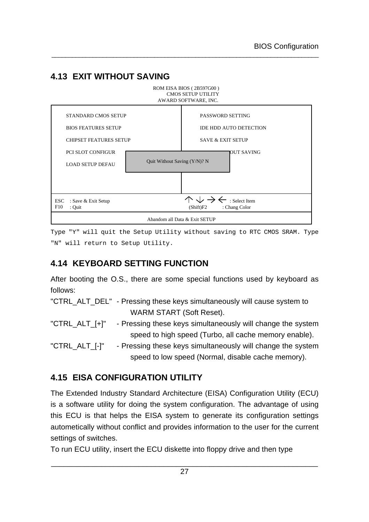### **4.13 EXIT WITHOUT SAVING**



\_\_\_\_\_\_\_\_\_\_\_\_\_\_\_\_\_\_\_\_\_\_\_\_\_\_\_\_\_\_\_\_\_\_\_\_\_\_\_\_\_\_\_\_\_\_\_\_\_\_\_\_\_\_\_\_\_\_\_\_\_\_\_\_\_\_\_\_\_\_\_\_\_\_\_\_\_\_

Type "Y" will quit the Setup Utility without saving to RTC CMOS SRAM. Type "N" will return to Setup Utility.

### **4.14 KEYBOARD SETTING FUNCTION**

After booting the O.S., there are some special functions used by keyboard as follows:

"CTRL\_ALT\_DEL" - Pressing these keys simultaneously will cause system to WARM START (Soft Reset).

"CTRL\_ALT\_[+]" - Pressing these keys simultaneously will change the system speed to high speed (Turbo, all cache memory enable).

"CTRL\_ALT\_[-]" - Pressing these keys simultaneously will change the system speed to low speed (Normal, disable cache memory).

#### **4.15 EISA CONFIGURATION UTILITY**

The Extended Industry Standard Architecture (EISA) Configuration Utility (ECU) is a software utility for doing the system configuration. The advantage of using this ECU is that helps the EISA system to generate its configuration settings autometically without conflict and provides information to the user for the current settings of switches.

To run ECU utility, insert the ECU diskette into floppy drive and then type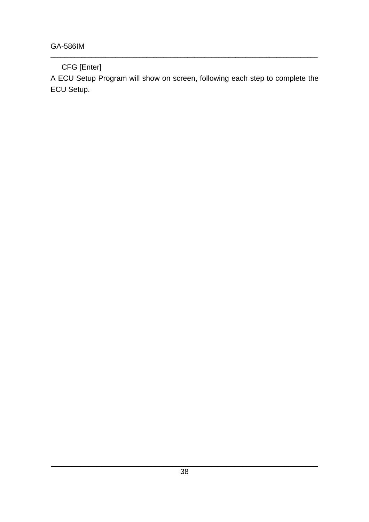CFG [Enter]

A ECU Setup Program will show on screen, following each step to complete the ECU Setup.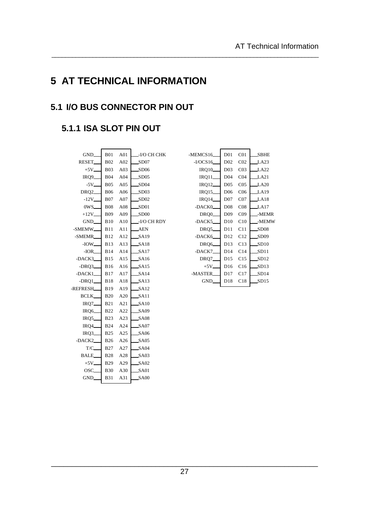# **5 AT TECHNICAL INFORMATION**

\_\_\_\_\_\_\_\_\_\_\_\_\_\_\_\_\_\_\_\_\_\_\_\_\_\_\_\_\_\_\_\_\_\_\_\_\_\_\_\_\_\_\_\_\_\_\_\_\_\_\_\_\_\_\_\_\_\_\_\_\_\_\_\_\_\_\_\_\_\_\_\_\_\_\_\_\_\_

#### **5.1 I/O BUS CONNECTOR PIN OUT**

### **5.1.1 ISA SLOT PIN OUT**

| GND_             | <b>B01</b>  | A <sub>01</sub> | -I/O CH CHK      |
|------------------|-------------|-----------------|------------------|
| RESET_           | <b>B02</b>  | A02             | SD07             |
| $+5V$            | <b>B03</b>  | A03             | SD06             |
| IRQ9_            | <b>B04</b>  | A <sub>04</sub> | SD <sub>05</sub> |
| $-5V$            | <b>B05</b>  | A05             | SD04             |
| DRQ <sub>2</sub> | <b>B06</b>  | A06             | SD03             |
| $-12V$           | <b>B07</b>  | A07             | SD02             |
| 0WS_             | <b>B08</b>  | A08             | SD01             |
| $+12V$           | <b>B09</b>  | A09             | SD <sub>00</sub> |
| GND              | <b>B10</b>  | A10             | -I/O CH RDY      |
| -SMEMW_          | B11         | A11             | <b>AEN</b>       |
| -SMEMR           | B12         | A12             | SA19             |
| $-IOW$           | <b>B</b> 13 | A13             | SA18             |
| $-IOR$           | <b>B14</b>  | A14             | SA17             |
| -DACK3           |             | B15 A15         | SA16             |
| -DRO3_           |             | B16 A16         | SA15             |
| $-$ DACK $1$     | <b>B</b> 17 | A17             | SA14             |
| $-DRQ1$          | <b>B18</b>  | A18             | SA13             |
| -REFRESH_        | <b>B</b> 19 | A19             | SA12             |
| BCLK_            | B20         | A20             | SA11             |
| IRQ7_            | B21         | A21             | SA10             |
| IRQ6             | B22         | A22             | SA09             |
| IRQ5             | <b>B23</b>  | A23             | <b>SA08</b>      |
| IRQ4             | <b>B24</b>  | A24             | SA07             |
| IRQ3_            | <b>B25</b>  | A25             | <b>SA06</b>      |
| -DACK2           | <b>B26</b>  | A26             | SA05             |
| T/C              | <b>B27</b>  | A27             | SA04             |
| <b>BALE</b>      | B28         | A28             | <b>SA03</b>      |
| $+5V$            | <b>B29</b>  | A29             | SA02             |
| OSC.             | <b>B30</b>  | A30             | SA01             |
| GND_             | <b>B31</b>  | A31             | SA00             |
|                  |             |                 |                  |

| -MEMCS16             | D <sub>01</sub> | CO <sub>1</sub> | SBHE  |
|----------------------|-----------------|-----------------|-------|
| $-VOCS16$            | D <sub>02</sub> | CO <sub>2</sub> | LA23  |
| IRQ10                | D <sub>03</sub> | CO <sub>3</sub> | LA22  |
| $IRQ11$ <sub>-</sub> | D <sub>04</sub> | CO <sub>4</sub> | LA21  |
| IRQ12                | D <sub>05</sub> | CO <sub>5</sub> | LA20  |
| $IRQ15$ <sub>-</sub> | D <sub>06</sub> | C <sub>06</sub> | LA19  |
| <b>IRQ14</b>         | D <sub>07</sub> | CO7             | LA18  |
| -DACK0_              | D <sub>08</sub> | CO8             | J.A17 |
| DRQ0_                | D <sub>09</sub> | CO <sub>9</sub> | -MEMR |
| -DACK5               | D10             | C10             | -MEMW |
| DRQ5_                | D11             | C11             | SD08  |
| -DACK6               | D12             | C12             | SD09  |
| DRQ6_                | D13             | C13             | SD10  |
| -DACK7_              | D14             | C14             | SD11  |
| DRQ7_                | D15             | C15             | SD12  |
| $+5V$                | D16             | C16             | SD13  |
| -MASTER_             | D17             | C17             | SD14  |
| GND                  | D <sub>18</sub> | C18             | SD15  |
|                      |                 |                 |       |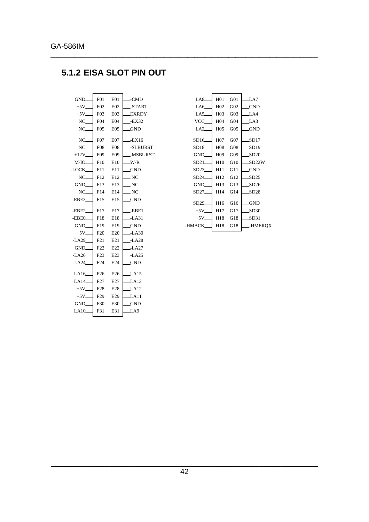### **5.1.2 EISA SLOT PIN OUT**

 $\overline{\phantom{0}}$ 

 $\mathbf{r}$ 

| GND                 | F01        | E01             | __-CMD                      |
|---------------------|------------|-----------------|-----------------------------|
| $+5V$ <sub>-</sub>  | F02        | E02             | $-STAT$                     |
| $+5V$ <sub>-</sub>  | F03        | E03             | _EXRDY                      |
| $NC_{-}$            | F04        | E04             | $-EX32$                     |
| $NC_{-}$            | F05        | E05             | <b>GND</b>                  |
| $NC_{-}$            | F07        | E07             | $-EX16$                     |
| $NC_{-}$            | F08        | <b>E08</b>      | _-SLBURST                   |
| $+12V$ <sub>-</sub> | F09        | E09             | -MSBURST                    |
|                     | F10        |                 |                             |
| $M$ -IO $\_$        |            | E10             | $\mathbb{L}$ W-R            |
| -LOCK_              | F11        | E11             | $\_{\rm{GND}}$              |
| $NC_{-}$            | F12        | E12             | $\overline{\phantom{a}}$ NC |
| GND_                |            | F13 E13         | _ NC                        |
| $NC_{-}$            |            | F14 E14         | . NC                        |
| -EBE3               |            | F15 E15         | .GND                        |
|                     |            |                 |                             |
| -EBE2               | F17        | E17             | -EBE1                       |
| $-EBE0$             | F18        | E18             | $-LA31$                     |
| GND_                | F19        | E19             | $\sqrt{\text{GND}}$         |
| $+5V$               | F20        | E20             | _-LA30                      |
| $-LA29$             | F21        | E21             | _-LA28                      |
| GND_                | F22        | E22             | --LA27                      |
| $-LA26$             |            | F23 E23         | $-LA25$                     |
| $-LA24$             | F24        | E24             | .GND                        |
| LA16                | F26        | E <sub>26</sub> | $\pm$ A15                   |
| LA14                | F27        | E27             | LA13                        |
|                     | F28        |                 | LA12                        |
| $+5V$ <sub>-</sub>  |            | E28             |                             |
| $+5V$               | F29        | E <sub>29</sub> | LA11                        |
| GND_<br>LA10        | F30<br>F31 | E30<br>E31      | _GND<br>$\perp$ A9          |

| LA8     | H <sub>01</sub> | G <sub>01</sub> | LA7              |
|---------|-----------------|-----------------|------------------|
| LA6     | H <sub>02</sub> | G <sub>02</sub> | GND              |
| LAS     | H <sub>03</sub> | G03             | LA4              |
| VCC.    | H <sub>04</sub> | G04             | LA3              |
| LA2     | H <sub>05</sub> | G <sub>05</sub> | GND              |
|         |                 |                 |                  |
| SD16    | H <sub>07</sub> | G07             | SD17.            |
| SD18_   | H <sub>08</sub> | G08             | SD19             |
| GND_    | H <sub>09</sub> | G09             | SD <sub>20</sub> |
| SD21_   | H <sub>10</sub> | G10             | SD22W            |
| SD23.   | H11             | G11             | GND              |
| SD24    | H <sub>12</sub> | G12             | SD25             |
| GND.    | H13             | G13             | SD26             |
| SD27.   | H14             | G14             | SD28             |
|         |                 |                 |                  |
| SD29.   | H <sub>16</sub> | G16             | GND              |
| $+5V-$  | H17             | G17             | SD30             |
| $+5V$   | H18             | G18             | SD31             |
| -HMACK. | H18             | G18             | -HMEROX          |
|         |                 |                 |                  |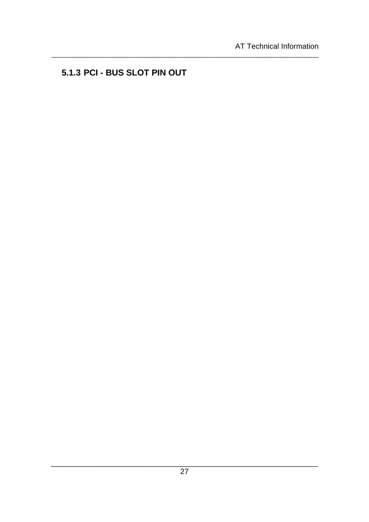#### 5.1.3 PCI - BUS SLOT PIN OUT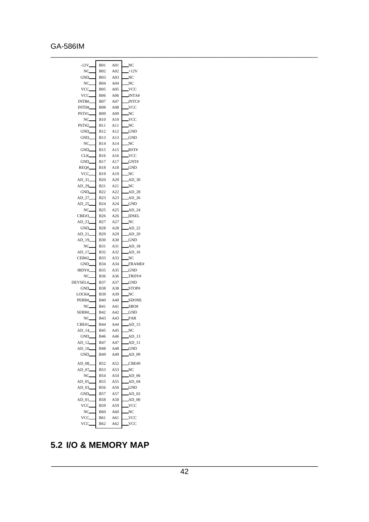$\sim$ 

| $-12V$               | <b>B01</b> | A01 | NC               |
|----------------------|------------|-----|------------------|
| $NC_{-}$             | <b>B02</b> | A02 | $+12V$           |
| GND_                 | <b>B03</b> | A03 | NC               |
| NC                   | <b>B04</b> | A04 | NC               |
| VCC                  | <b>B05</b> | A05 | VCC.             |
| VCC                  | <b>B06</b> | A06 | INTA#            |
| INTB#                | <b>B07</b> | A07 | INTC#            |
| INTD#                | <b>B08</b> | A08 | VCC              |
| PST#1                | <b>B09</b> | A09 | NC               |
| NC.                  | <b>B10</b> | A10 | <b>VCC</b>       |
| <b>PST#2</b>         | B11        | A11 | NC               |
| GND.                 | <b>B12</b> | A12 | GND              |
| GND_                 | <b>B13</b> | A13 | GND              |
| NC                   | <b>B14</b> | A14 | NC               |
| GND_                 | <b>B15</b> | A15 | RST#             |
|                      |            |     |                  |
| CLK_                 | <b>B16</b> | A16 | VCC.             |
| GND_                 | <b>B17</b> | A17 | GNT#             |
| REQ#                 | <b>B18</b> | A18 | GND              |
| VCC                  | <b>B19</b> | A19 | NC               |
| $AD_31$              | <b>B20</b> | A20 | AD 30            |
| AD 29_               | <b>B21</b> | A21 | NC               |
| GND.                 | <b>B22</b> | A22 | AD 28            |
| AD 27                | <b>B23</b> | A23 | $AD_26$          |
| AD 25                | <b>B24</b> | A24 | <b>GND</b>       |
| NC                   | <b>B25</b> | A25 | AD 24            |
| $CBE#3$ <sub>-</sub> | <b>B26</b> | A26 | <b>IDSEL</b>     |
| AD 23                | <b>B27</b> | A27 | NC               |
| GND.                 | <b>B28</b> | A28 | AD <sub>22</sub> |
| $AD_21$              | <b>B29</b> | A29 | $AD_20$          |
| AD 19                | <b>B30</b> | A30 | GND.             |
| NC.                  | <b>B31</b> | A31 | $AD_18$          |
| $AD_17$              | B32        | A32 | $AD_16$          |
| CEB#2                | <b>B33</b> | A33 | NC               |
| GND.                 | <b>B34</b> | A34 | FRAME#           |
| IRDY#                | <b>B35</b> | A35 | GND.             |
| NC.                  | <b>B36</b> | A36 | TRDY#            |
| DEVSEL#              | B37        | A37 | <b>GND</b>       |
| GND_                 | <b>B38</b> | A38 | STOP#            |
| LOCK#                | B39        | A39 | NC               |
| PERR#                | <b>B40</b> | A40 | <b>SDONE</b>     |
| NC.                  | B41        | A41 | SBO#             |
| SERR#                | <b>B42</b> | A42 | GND              |
| NC.                  | <b>B43</b> | A43 | PAR              |
| CBE#1                | <b>B44</b> | A44 | $AD$ 15          |
| $AD_14$              | <b>B45</b> | A45 | $_{\rm NC}$      |
| GND.                 | <b>B46</b> | A46 | $AD_13$          |
| $AD_12$              | <b>B47</b> | A47 | $AD_11$          |
| $AD_10$              | <b>B48</b> | A48 | <b>GND</b>       |
| GND_                 | B49        | A49 | $AD_09$          |
| $AD_08$              | <b>B52</b> | A52 | CBE#0            |
| AD_07                | <b>B53</b> | A53 | NC               |
| NC                   | <b>B54</b> | A54 | $AD_06$          |
| AD_05                | <b>B55</b> | A55 | $AD_04$          |
| $AD_03$              | <b>B56</b> | A56 | <b>GND</b>       |
| GND_                 | B57        | A57 | $AD_02$          |
| AD 01                | <b>B58</b> | A58 | $AD_0$           |
| VCC.                 | <b>B59</b> | A59 | VCC.             |
| NC_                  | <b>B60</b> | A60 | NC               |
| VCC                  | B61        | A61 | VCC.             |
| VCC                  | B62        | A62 | VCC              |
|                      |            |     |                  |

#### **5.2 I/O & MEMORY MAP**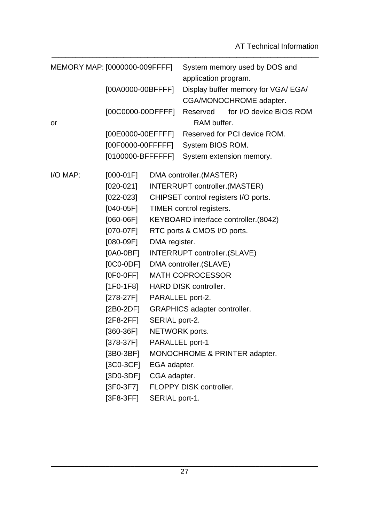| MEMORY MAP: [0000000-009FFFF] |                    |                                      | application program.                | System memory used by DOS and                                  |  |  |
|-------------------------------|--------------------|--------------------------------------|-------------------------------------|----------------------------------------------------------------|--|--|
|                               | [00A0000-00BFFFF]  |                                      |                                     | Display buffer memory for VGA/ EGA/<br>CGA/MONOCHROME adapter. |  |  |
| [00C0000-00DFFFF]             |                    |                                      |                                     | Reserved for I/O device BIOS ROM                               |  |  |
| or                            |                    |                                      | RAM buffer.                         |                                                                |  |  |
|                               | [00E0000-00EFFFF]  |                                      |                                     | Reserved for PCI device ROM.                                   |  |  |
|                               | [00F0000-00FFFFF]  |                                      | System BIOS ROM.                    |                                                                |  |  |
|                               | $[0100000-BFFFFF]$ |                                      |                                     | System extension memory.                                       |  |  |
| I/O MAP:                      | $[000-01F]$        |                                      | DMA controller.(MASTER)             |                                                                |  |  |
|                               | $[020 - 021]$      |                                      | INTERRUPT controller. (MASTER)      |                                                                |  |  |
|                               | $[022-023]$        | CHIPSET control registers I/O ports. |                                     |                                                                |  |  |
|                               | $[040-05F]$        | TIMER control registers.             |                                     |                                                                |  |  |
|                               | $[060-06F]$        | KEYBOARD interface controller.(8042) |                                     |                                                                |  |  |
|                               | $[070-07F]$        | RTC ports & CMOS I/O ports.          |                                     |                                                                |  |  |
|                               | $[080-09F]$        | DMA register.                        |                                     |                                                                |  |  |
|                               | $[0A0-0BF]$        | INTERRUPT controller. (SLAVE)        |                                     |                                                                |  |  |
|                               | $[0C0-0DF]$        |                                      | DMA controller. (SLAVE)             |                                                                |  |  |
|                               | $[0F0-0FF]$        |                                      | <b>MATH COPROCESSOR</b>             |                                                                |  |  |
|                               | [1F0-1F8]          |                                      | <b>HARD DISK controller.</b>        |                                                                |  |  |
|                               | [278-27F]          | PARALLEL port-2.                     |                                     |                                                                |  |  |
|                               | $[2B0-2DF]$        |                                      | <b>GRAPHICS adapter controller.</b> |                                                                |  |  |
|                               | $[2F8-2FF]$        | SERIAL port-2.                       |                                     |                                                                |  |  |
|                               | [360-36F]          | NETWORK ports.                       |                                     |                                                                |  |  |
|                               | [378-37F]          | PARALLEL port-1                      |                                     |                                                                |  |  |
|                               | $[3B0-3BF]$        |                                      |                                     | MONOCHROME & PRINTER adapter.                                  |  |  |
|                               | $[3C0-3CF]$        | EGA adapter.                         |                                     |                                                                |  |  |
|                               | $[3D0-3DF]$        | CGA adapter.                         |                                     |                                                                |  |  |
|                               | $[3F0-3F7]$        |                                      | FLOPPY DISK controller.             |                                                                |  |  |
|                               | $[3F8-3FF]$        | SERIAL port-1.                       |                                     |                                                                |  |  |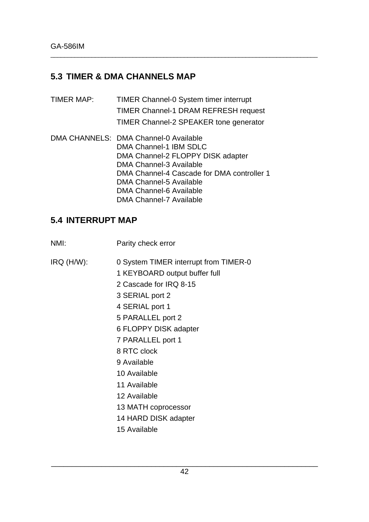#### **5.3 TIMER & DMA CHANNELS MAP**

TIMER MAP: TIMER Channel-0 System timer interrupt TIMER Channel-1 DRAM REFRESH request TIMER Channel-2 SPEAKER tone generator DMA CHANNELS: DMA Channel-0 Available

\_\_\_\_\_\_\_\_\_\_\_\_\_\_\_\_\_\_\_\_\_\_\_\_\_\_\_\_\_\_\_\_\_\_\_\_\_\_\_\_\_\_\_\_\_\_\_\_\_\_\_\_\_\_\_\_\_\_\_\_\_\_\_\_\_\_\_\_\_\_\_\_\_\_\_\_\_\_

DMA Channel-1 IBM SDLC DMA Channel-2 FLOPPY DISK adapter DMA Channel-3 Available DMA Channel-4 Cascade for DMA controller 1 DMA Channel-5 Available DMA Channel-6 Available DMA Channel-7 Available

#### **5.4 INTERRUPT MAP**

| NMI: | Parity check error |
|------|--------------------|
|      |                    |

- IRQ (H/W): 0 System TIMER interrupt from TIMER-0
	- 1 KEYBOARD output buffer full
	- 2 Cascade for IRQ 8-15
	- 3 SERIAL port 2
	- 4 SERIAL port 1
	- 5 PARALLEL port 2
	- 6 FLOPPY DISK adapter
	- 7 PARALLEL port 1
	- 8 RTC clock
	- 9 Available
	- 10 Available
	- 11 Available
	- 12 Available
	- 13 MATH coprocessor
	- 14 HARD DISK adapter
	- 15 Available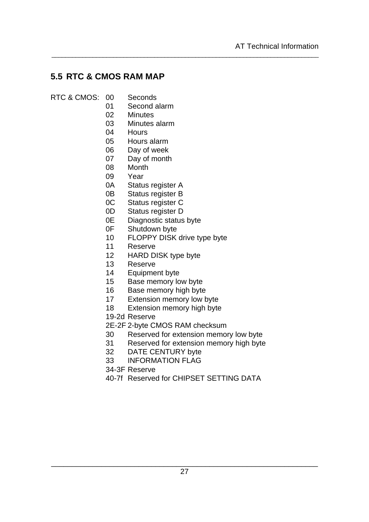#### **5.5 RTC & CMOS RAM MAP**

- RTC & CMOS: 00 Seconds
	- Second alarm
	- Minutes
	- Minutes alarm
	- Hours
	- Hours alarm
	- Day of week
	- Day of month
	- Month
	- Year
	- 0A Status register A
	- 0B Status register B
	- 0C Status register C
	- 0D Status register D
	- 0E Diagnostic status byte
	- 0F Shutdown byte
	- FLOPPY DISK drive type byte

- Reserve
- HARD DISK type byte
- Reserve
- Equipment byte
- Base memory low byte
- Base memory high byte
- Extension memory low byte
- Extension memory high byte
- 19-2d Reserve
- 2E-2F 2-byte CMOS RAM checksum
- Reserved for extension memory low byte
- Reserved for extension memory high byte
- DATE CENTURY byte
- INFORMATION FLAG
- 34-3F Reserve
- 40-7f Reserved for CHIPSET SETTING DATA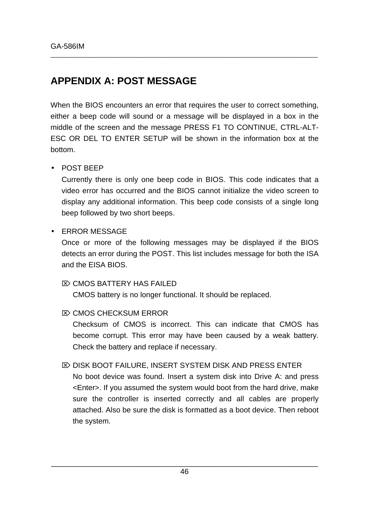# **APPENDIX A: POST MESSAGE**

When the BIOS encounters an error that requires the user to correct something, either a beep code will sound or a message will be displayed in a box in the middle of the screen and the message PRESS F1 TO CONTINUE, CTRL-ALT-ESC OR DEL TO ENTER SETUP will be shown in the information box at the bottom.

\_\_\_\_\_\_\_\_\_\_\_\_\_\_\_\_\_\_\_\_\_\_\_\_\_\_\_\_\_\_\_\_\_\_\_\_\_\_\_\_\_\_\_\_\_\_\_\_\_\_\_\_\_\_\_\_\_\_\_\_\_\_\_\_\_\_\_\_\_\_\_\_\_\_\_\_\_\_

#### • POST BEEP

Currently there is only one beep code in BIOS. This code indicates that a video error has occurred and the BIOS cannot initialize the video screen to display any additional information. This beep code consists of a single long beep followed by two short beeps.

#### • ERROR MESSAGE

Once or more of the following messages may be displayed if the BIOS detects an error during the POST. This list includes message for both the ISA and the EISA BIOS.

#### $\overline{\infty}$  CMOS BATTERY HAS FAILED

CMOS battery is no longer functional. It should be replaced.

#### $\mathbb{Z}$  CMOS CHECKSUM ERROR

Checksum of CMOS is incorrect. This can indicate that CMOS has become corrupt. This error may have been caused by a weak battery. Check the battery and replace if necessary.

#### $\mathbb{Z}$  DISK BOOT FAILURE, INSERT SYSTEM DISK AND PRESS ENTER

No boot device was found. Insert a system disk into Drive A: and press <Enter>. If you assumed the system would boot from the hard drive, make sure the controller is inserted correctly and all cables are properly attached. Also be sure the disk is formatted as a boot device. Then reboot the system.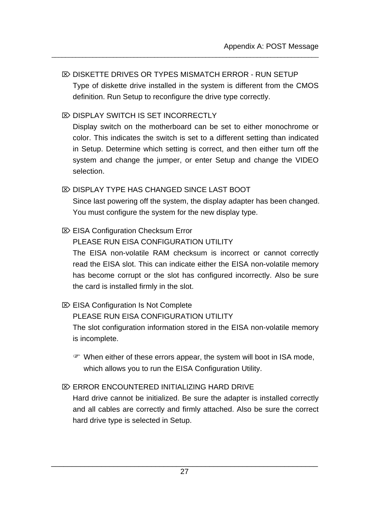$\overline{\infty}$  DISKETTE DRIVES OR TYPES MISMATCH ERROR - RUN SETUP Type of diskette drive installed in the system is different from the CMOS definition. Run Setup to reconfigure the drive type correctly.

\_\_\_\_\_\_\_\_\_\_\_\_\_\_\_\_\_\_\_\_\_\_\_\_\_\_\_\_\_\_\_\_\_\_\_\_\_\_\_\_\_\_\_\_\_\_\_\_\_\_\_\_\_\_\_\_\_\_\_\_\_\_\_\_\_\_\_\_\_\_\_\_\_\_\_\_\_\_

#### $\overline{\infty}$  DISPLAY SWITCH IS SET INCORRECTLY

Display switch on the motherboard can be set to either monochrome or color. This indicates the switch is set to a different setting than indicated in Setup. Determine which setting is correct, and then either turn off the system and change the jumper, or enter Setup and change the VIDEO selection.

#### $\overline{\infty}$  DISPLAY TYPE HAS CHANGED SINCE LAST BOOT

Since last powering off the system, the display adapter has been changed. You must configure the system for the new display type.

#### $\mathbb{Z}$  EISA Configuration Checksum Error

PLEASE RUN FISA CONFIGURATION UTILITY

The EISA non-volatile RAM checksum is incorrect or cannot correctly read the EISA slot. This can indicate either the EISA non-volatile memory has become corrupt or the slot has configured incorrectly. Also be sure the card is installed firmly in the slot.

#### $\mathbb{Z}$  EISA Configuration Is Not Complete

PLEASE RUN EISA CONFIGURATION UTILITY The slot configuration information stored in the EISA non-volatile memory is incomplete.

F When either of these errors appear, the system will boot in ISA mode, which allows you to run the EISA Configuration Utility.

#### $\mathbb{Z}$  ERROR ENCOUNTERED INITIALIZING HARD DRIVE

Hard drive cannot be initialized. Be sure the adapter is installed correctly and all cables are correctly and firmly attached. Also be sure the correct hard drive type is selected in Setup.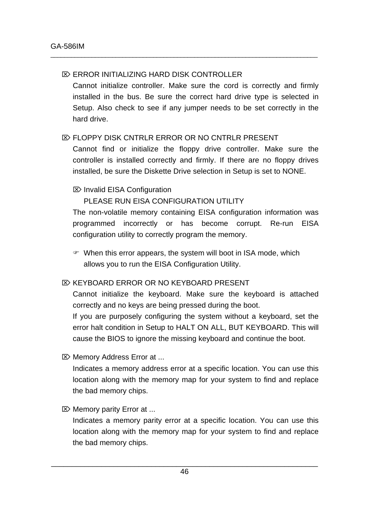#### $\mathbb{Z}$  ERROR INITIALIZING HARD DISK CONTROLLER

Cannot initialize controller. Make sure the cord is correctly and firmly installed in the bus. Be sure the correct hard drive type is selected in Setup. Also check to see if any jumper needs to be set correctly in the hard drive.

\_\_\_\_\_\_\_\_\_\_\_\_\_\_\_\_\_\_\_\_\_\_\_\_\_\_\_\_\_\_\_\_\_\_\_\_\_\_\_\_\_\_\_\_\_\_\_\_\_\_\_\_\_\_\_\_\_\_\_\_\_\_\_\_\_\_\_\_\_\_\_\_\_\_\_\_\_\_

#### $\overline{R}$  FLOPPY DISK CNTRLR ERROR OR NO CNTRLR PRESENT

Cannot find or initialize the floppy drive controller. Make sure the controller is installed correctly and firmly. If there are no floppy drives installed, be sure the Diskette Drive selection in Setup is set to NONE.

#### $\boxtimes$  Invalid EISA Configuration

#### PLEASE RUN EISA CONFIGURATION UTILITY

The non-volatile memory containing EISA configuration information was programmed incorrectly or has become corrupt. Re-run EISA configuration utility to correctly program the memory.

 $\mathcal{F}$  When this error appears, the system will boot in ISA mode, which allows you to run the EISA Configuration Utility.

#### **EXACT KEYBOARD ERROR OR NO KEYBOARD PRESENT**

Cannot initialize the keyboard. Make sure the keyboard is attached correctly and no keys are being pressed during the boot.

If you are purposely configuring the system without a keyboard, set the error halt condition in Setup to HALT ON ALL, BUT KEYBOARD. This will cause the BIOS to ignore the missing keyboard and continue the boot.

 $\mathbb{Z}$  Memory Address Error at ...

Indicates a memory address error at a specific location. You can use this location along with the memory map for your system to find and replace the bad memory chips.

 $\mathbb{Z}$  Memory parity Error at ...

Indicates a memory parity error at a specific location. You can use this location along with the memory map for your system to find and replace the bad memory chips.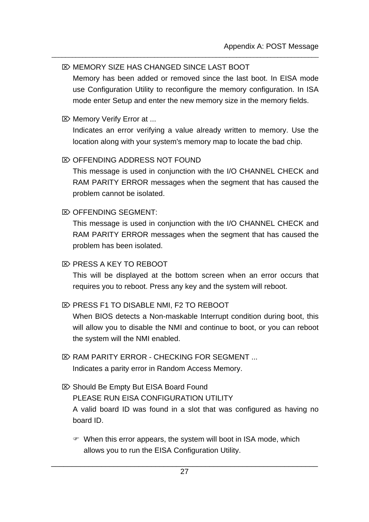#### $\overline{\infty}$  MEMORY SIZE HAS CHANGED SINCE LAST BOOT

Memory has been added or removed since the last boot. In EISA mode use Configuration Utility to reconfigure the memory configuration. In ISA mode enter Setup and enter the new memory size in the memory fields.

\_\_\_\_\_\_\_\_\_\_\_\_\_\_\_\_\_\_\_\_\_\_\_\_\_\_\_\_\_\_\_\_\_\_\_\_\_\_\_\_\_\_\_\_\_\_\_\_\_\_\_\_\_\_\_\_\_\_\_\_\_\_\_\_\_\_\_\_\_\_\_\_\_\_\_\_\_\_

#### $\boxtimes$  Memory Verify Error at ...

Indicates an error verifying a value already written to memory. Use the location along with your system's memory map to locate the bad chip.

#### $\gg$  OFFENDING ADDRESS NOT FOUND

This message is used in conjunction with the I/O CHANNEL CHECK and RAM PARITY ERROR messages when the segment that has caused the problem cannot be isolated.

#### $\mathbb{Z}$  OFFENDING SEGMENT:

This message is used in conjunction with the I/O CHANNEL CHECK and RAM PARITY ERROR messages when the segment that has caused the problem has been isolated.

#### $\overline{\infty}$  PRESS A KEY TO REBOOT

This will be displayed at the bottom screen when an error occurs that requires you to reboot. Press any key and the system will reboot.

#### $\otimes$  **PRESS F1 TO DISABLE NMI, F2 TO REBOOT**

When BIOS detects a Non-maskable Interrupt condition during boot, this will allow you to disable the NMI and continue to boot, or you can reboot the system will the NMI enabled.

 $\mathbb{Z}$  RAM PARITY ERROR - CHECKING FOR SEGMENT ... Indicates a parity error in Random Access Memory.

#### $\&$  **Should Be Empty But EISA Board Found** PLEASE RUN EISA CONFIGURATION UTILITY A valid board ID was found in a slot that was configured as having no board ID.

 $\mathcal{F}$  When this error appears, the system will boot in ISA mode, which allows you to run the EISA Configuration Utility.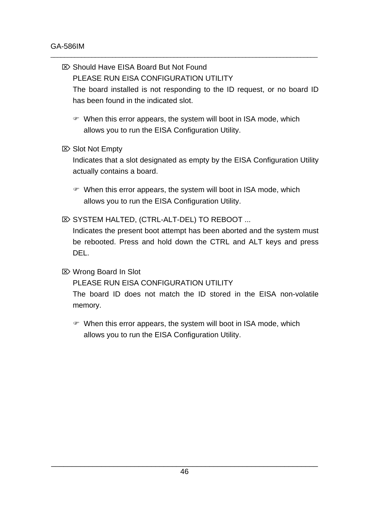■ Should Have EISA Board But Not Found PLEASE RUN EISA CONFIGURATION UTILITY The board installed is not responding to the ID request, or no board ID has been found in the indicated slot.

\_\_\_\_\_\_\_\_\_\_\_\_\_\_\_\_\_\_\_\_\_\_\_\_\_\_\_\_\_\_\_\_\_\_\_\_\_\_\_\_\_\_\_\_\_\_\_\_\_\_\_\_\_\_\_\_\_\_\_\_\_\_\_\_\_\_\_\_\_\_\_\_\_\_\_\_\_\_

- $\mathcal{F}$  When this error appears, the system will boot in ISA mode, which allows you to run the EISA Configuration Utility.
- $\boxtimes$  Slot Not Empty

Indicates that a slot designated as empty by the EISA Configuration Utility actually contains a board.

- $\mathcal{F}$  When this error appears, the system will boot in ISA mode, which allows you to run the EISA Configuration Utility.
- $\mathbb{Z}$  SYSTEM HALTED, (CTRL-ALT-DEL) TO REBOOT ...

Indicates the present boot attempt has been aborted and the system must be rebooted. Press and hold down the CTRL and ALT keys and press DEL.

 $⊠$  Wrong Board In Slot

PLEASE RUN EISA CONFIGURATION UTILITY

The board ID does not match the ID stored in the EISA non-volatile memory.

 $\mathcal{F}$  When this error appears, the system will boot in ISA mode, which allows you to run the EISA Configuration Utility.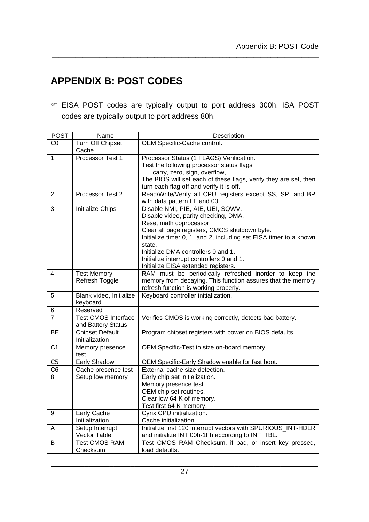# **APPENDIX B: POST CODES**

G EISA POST codes are typically output to port address 300h. ISA POST codes are typically output to port address 80h.

| <b>POST</b>    | Name                                             | Description                                                                                                                                                                                                                                                                                                                                                                                     |
|----------------|--------------------------------------------------|-------------------------------------------------------------------------------------------------------------------------------------------------------------------------------------------------------------------------------------------------------------------------------------------------------------------------------------------------------------------------------------------------|
| C <sub>0</sub> | <b>Turn Off Chipset</b><br>Cache                 | OEM Specific-Cache control.                                                                                                                                                                                                                                                                                                                                                                     |
| 1              | Processor Test 1                                 | Processor Status (1 FLAGS) Verification.<br>Test the following processor status flags<br>carry, zero, sign, overflow,<br>The BIOS will set each of these flags, verify they are set, then                                                                                                                                                                                                       |
| 2              | Processor Test 2                                 | turn each flag off and verify it is off.<br>Read/Write/Verify all CPU registers except SS, SP, and BP                                                                                                                                                                                                                                                                                           |
| 3              | Initialize Chips                                 | with data pattern FF and 00.<br>Disable NMI, PIE, AIE, UEI, SQWV.<br>Disable video, parity checking, DMA.<br>Reset math coprocessor.<br>Clear all page registers, CMOS shutdown byte.<br>Initialize timer 0, 1, and 2, including set EISA timer to a known<br>state.<br>Initialize DMA controllers 0 and 1.<br>Initialize interrupt controllers 0 and 1.<br>Initialize EISA extended registers. |
| 4              | <b>Test Memory</b><br>Refresh Toggle             | RAM must be periodically refreshed inorder to keep the<br>memory from decaying. This function assures that the memory<br>refresh function is working properly.                                                                                                                                                                                                                                  |
| 5              | Blank video, Initialize<br>keyboard              | Keyboard controller initialization.                                                                                                                                                                                                                                                                                                                                                             |
| 6              | Reserved                                         |                                                                                                                                                                                                                                                                                                                                                                                                 |
| 7              | <b>Test CMOS Interface</b><br>and Battery Status | Verifies CMOS is working correctly, detects bad battery.                                                                                                                                                                                                                                                                                                                                        |
| <b>BE</b>      | <b>Chipset Default</b><br>Initialization         | Program chipset registers with power on BIOS defaults.                                                                                                                                                                                                                                                                                                                                          |
| C <sub>1</sub> | Memory presence<br>test                          | OEM Specific-Test to size on-board memory.                                                                                                                                                                                                                                                                                                                                                      |
| C <sub>5</sub> | Early Shadow                                     | OEM Specific-Early Shadow enable for fast boot.                                                                                                                                                                                                                                                                                                                                                 |
| C <sub>6</sub> | Cache presence test                              | External cache size detection.                                                                                                                                                                                                                                                                                                                                                                  |
| 8              | Setup low memory                                 | Early chip set initialization.<br>Memory presence test.<br>OEM chip set routines.<br>Clear low 64 K of memory.<br>Test first 64 K memory.                                                                                                                                                                                                                                                       |
| 9              | Early Cache<br>Initialization                    | Cyrix CPU initialization.<br>Cache initialization.                                                                                                                                                                                                                                                                                                                                              |
| A              | Setup Interrupt<br>Vector Table                  | Initialize first 120 interrupt vectors with SPURIOUS_INT-HDLR<br>and initialize INT 00h-1Fh according to INT_TBL.                                                                                                                                                                                                                                                                               |
| B              | <b>Test CMOS RAM</b><br>Checksum                 | Test CMOS RAM Checksum, if bad, or insert key pressed,<br>load defaults.                                                                                                                                                                                                                                                                                                                        |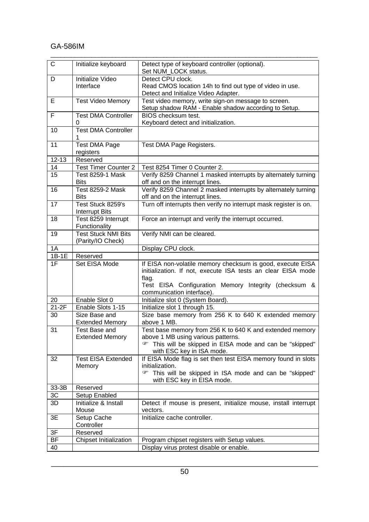#### GA-586IM

| $\mathsf C$ | Initialize keyboard                     | Detect type of keyboard controller (optional).<br>Set NUM_LOCK status.                   |
|-------------|-----------------------------------------|------------------------------------------------------------------------------------------|
| D           | Initialize Video                        | Detect CPU clock.                                                                        |
|             | Interface                               | Read CMOS location 14h to find out type of video in use.                                 |
|             |                                         | Detect and Initialize Video Adapter.                                                     |
| Е           | <b>Test Video Memory</b>                | Test video memory, write sign-on message to screen.                                      |
|             |                                         | Setup shadow RAM - Enable shadow according to Setup.                                     |
| F           | <b>Test DMA Controller</b>              | BIOS checksum test.                                                                      |
|             | 0                                       | Keyboard detect and initialization.                                                      |
| 10          | <b>Test DMA Controller</b>              |                                                                                          |
| 11          | <b>Test DMA Page</b>                    | Test DMA Page Registers.                                                                 |
|             | registers                               |                                                                                          |
| $12 - 13$   | Reserved                                |                                                                                          |
| 14          | <b>Test Timer Counter 2</b>             | Test 8254 Timer 0 Counter 2.                                                             |
| 15          | <b>Test 8259-1 Mask</b>                 | Verify 8259 Channel 1 masked interrupts by alternately turning                           |
|             | <b>Bits</b>                             | off and on the interrupt lines.                                                          |
| 16          | <b>Test 8259-2 Mask</b>                 | Verify 8259 Channel 2 masked interrupts by alternately turning                           |
|             | Bits                                    | off and on the interrupt lines.                                                          |
| 17          | Test Stuck 8259's                       | Turn off interrupts then verify no interrupt mask register is on.                        |
| 18          | <b>Interrupt Bits</b>                   |                                                                                          |
|             | Test 8259 Interrupt<br>Functionality    | Force an interrupt and verify the interrupt occurred.                                    |
| 19          | <b>Test Stuck NMI Bits</b>              | Verify NMI can be cleared.                                                               |
|             | (Parity/IO Check)                       |                                                                                          |
| 1A          |                                         | Display CPU clock.                                                                       |
| $1B-1E$     | Reserved                                |                                                                                          |
| 1F          | Set EISA Mode                           | If EISA non-volatile memory checksum is good, execute EISA                               |
|             |                                         |                                                                                          |
|             |                                         | initialization. If not, execute ISA tests an clear EISA mode                             |
|             |                                         | flag.                                                                                    |
|             |                                         | Test EISA Configuration Memory Integrity (checksum &                                     |
|             |                                         | communication interface).                                                                |
| 20          | Enable Slot 0                           | Initialize slot 0 (System Board).                                                        |
| $21-2F$     | Enable Slots 1-15                       | Initialize slot 1 through 15.                                                            |
| 30          | Size Base and<br><b>Extended Memory</b> | Size base memory from 256 K to 640 K extended memory<br>above 1 MB.                      |
| 31          | Test Base and                           | Test base memory from 256 K to 640 K and extended memory                                 |
|             | <b>Extended Memory</b>                  | above 1 MB using various patterns.                                                       |
|             |                                         | This will be skipped in EISA mode and can be "skipped"                                   |
|             |                                         | with ESC key in ISA mode.                                                                |
| 32          | <b>Test EISA Extended</b>               | If EISA Mode flag is set then test EISA memory found in slots                            |
|             | Memory                                  | initialization.                                                                          |
|             |                                         | This will be skipped in ISA mode and can be "skipped"                                    |
|             |                                         | with ESC key in EISA mode.                                                               |
| 33-3B       | Reserved                                |                                                                                          |
| 3C          | Setup Enabled<br>Initialize & Install   |                                                                                          |
| 3D          | Mouse                                   | Detect if mouse is present, initialize mouse, install interrupt<br>vectors.              |
| 3E          | Setup Cache                             | Initialize cache controller.                                                             |
|             | Controller                              |                                                                                          |
| 3F          | Reserved                                |                                                                                          |
| BF<br>40    | Chipset Initialization                  | Program chipset registers with Setup values.<br>Display virus protest disable or enable. |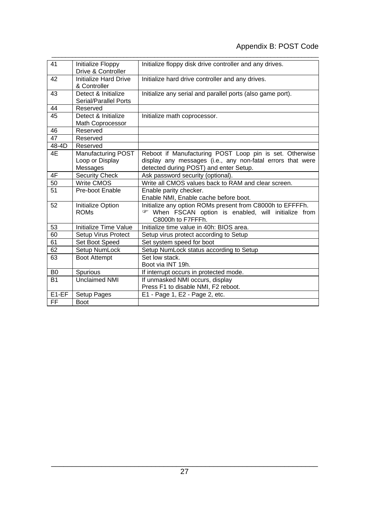| 41             | Initialize Floppy<br>Drive & Controller             | Initialize floppy disk drive controller and any drives.                            |
|----------------|-----------------------------------------------------|------------------------------------------------------------------------------------|
| 42             | <b>Initialize Hard Drive</b><br>& Controller        | Initialize hard drive controller and any drives.                                   |
| 43             | Detect & Initialize<br><b>Serial/Parallel Ports</b> | Initialize any serial and parallel ports (also game port).                         |
| 44             | Reserved                                            |                                                                                    |
| 45             | Detect & Initialize<br>Math Coprocessor             | Initialize math coprocessor.                                                       |
| 46             | Reserved                                            |                                                                                    |
| 47             | Reserved                                            |                                                                                    |
| 48-4D          | Reserved                                            |                                                                                    |
| 4E             | <b>Manufacturing POST</b>                           | Reboot if Manufacturing POST Loop pin is set. Otherwise                            |
|                | Loop or Display                                     | display any messages (i.e., any non-fatal errors that were                         |
|                | Messages                                            | detected during POST) and enter Setup.                                             |
| 4F             | <b>Security Check</b>                               | Ask password security (optional).                                                  |
| 50             | <b>Write CMOS</b>                                   | Write all CMOS values back to RAM and clear screen.                                |
| 51             | Pre-boot Enable                                     | Enable parity checker.                                                             |
|                |                                                     | Enable NMI, Enable cache before boot.                                              |
| 52             | Initialize Option                                   | Initialize any option ROMs present from C8000h to EFFFFh.                          |
|                | <b>ROMs</b>                                         | <b>The When FSCAN option is enabled, will initialize from</b><br>C8000h to F7FFFh. |
| 53             | <b>Initialize Time Value</b>                        | Initialize time value in 40h: BIOS area.                                           |
| 60             | <b>Setup Virus Protect</b>                          | Setup virus protect according to Setup                                             |
| 61             | Set Boot Speed                                      | Set system speed for boot                                                          |
| 62             | Setup NumLock                                       | Setup NumLock status according to Setup                                            |
| 63             | <b>Boot Attempt</b>                                 | Set low stack.                                                                     |
|                |                                                     | Boot via INT 19h.                                                                  |
| B <sub>0</sub> | Spurious                                            | If interrupt occurs in protected mode.                                             |
| <b>B1</b>      | <b>Unclaimed NMI</b>                                | If unmasked NMI occurs, display                                                    |
|                |                                                     | Press F1 to disable NMI, F2 reboot.                                                |
| $E1-EF$        | Setup Pages                                         | E1 - Page 1, E2 - Page 2, etc.                                                     |
| <b>FF</b>      | <b>Boot</b>                                         |                                                                                    |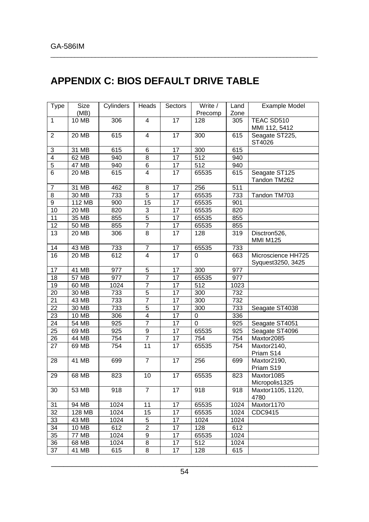# **APPENDIX C: BIOS DEFAULT DRIVE TABLE**

| <b>Type</b>             | Size         | Cylinders | Heads                     | Sectors | Write /        | Land | <b>Example Model</b>                    |
|-------------------------|--------------|-----------|---------------------------|---------|----------------|------|-----------------------------------------|
|                         | (MB)         |           |                           |         | Precomp        | Zone |                                         |
| $\mathbf{1}$            | 10 MB        | 306       | $\overline{4}$            | 17      | 128            | 305  | TEAC SD510<br>MMI 112, 5412             |
| $\overline{2}$          | <b>20 MB</b> | 615       | $\overline{4}$            | 17      | 300            | 615  | Seagate ST225,<br>ST4026                |
| 3                       | 31 MB        | 615       | 6                         | 17      | 300            | 615  |                                         |
| $\overline{\mathbf{4}}$ | 62 MB        | 940       | 8                         | 17      | 512            | 940  |                                         |
| $\overline{5}$          | <b>47 MB</b> | 940       | 6                         | 17      | 512            | 940  |                                         |
| 6                       | 20 MB        | 615       | 4                         | 17      | 65535          | 615  | Seagate ST125<br>Tandon TM262           |
| 7                       | 31 MB        | 462       | 8                         | 17      | 256            | 511  |                                         |
| 8                       | 30 MB        | 733       | 5                         | 17      | 65535          | 733  | Tandon TM703                            |
| 9                       | 112 MB       | 900       | 15                        | 17      | 65535          | 901  |                                         |
| 10                      | 20 MB        | 820       | $\ensuremath{\mathsf{3}}$ | 17      | 65535          | 820  |                                         |
| 11                      | 35 MB        | 855       | 5                         | 17      | 65535          | 855  |                                         |
| 12                      | 50 MB        | 855       | $\overline{7}$            | 17      | 65535          | 855  |                                         |
| 13                      | 20 MB        | 306       | 8                         | 17      | 128            | 319  | Disctron526,<br><b>MMI M125</b>         |
| 14                      | 43 MB        | 733       | $\overline{7}$            | 17      | 65535          | 733  |                                         |
| 16                      | 20 MB        | 612       | $\overline{4}$            | 17      | $\Omega$       | 663  | Microscience HH725<br>Syquest3250, 3425 |
| 17                      | 41 MB        | 977       | $\mathbf 5$               | 17      | 300            | 977  |                                         |
| 18                      | 57 MB        | 977       | $\overline{7}$            | 17      | 65535          | 977  |                                         |
| 19                      | 60 MB        | 1024      | $\overline{7}$            | 17      | 512            | 1023 |                                         |
| 20                      | 30 MB        | 733       | $\mathbf 5$               | 17      | 300            | 732  |                                         |
| 21                      | 43 MB        | 733       | $\overline{7}$            | 17      | 300            | 732  |                                         |
| 22                      | 30 MB        | 733       | 5                         | 17      | 300            | 733  | Seagate ST4038                          |
| 23                      | <b>10 MB</b> | 306       | $\overline{\mathbf{4}}$   | 17      | $\pmb{0}$      | 336  |                                         |
| 24                      | 54 MB        | 925       | $\overline{7}$            | 17      | $\overline{0}$ | 925  | Seagate ST4051                          |
| 25                      | 69 MB        | 925       | 9                         | 17      | 65535          | 925  | Seagate ST4096                          |
| 26                      | 44 MB        | 754       | $\overline{7}$            | 17      | 754            | 754  | Maxtor2085                              |
| 27                      | 69 MB        | 754       | 11                        | 17      | 65535          | 754  | Maxtor2140,<br>Priam S14                |
| 28                      | 41 MB        | 699       | $\overline{7}$            | 17      | 256            | 699  | Maxtor2190,<br>Priam S19                |
| 29                      | 68 MB        | 823       | 10                        | 17      | 65535          | 823  | Maxtor1085<br>Micropolis1325            |
| 30                      | 53 MB        | 918       | $\overline{7}$            | 17      | 918            | 918  | Maxtor1105, 1120,<br>4780               |
| 31                      | 94 MB        | 1024      | 11                        | 17      | 65535          | 1024 | Maxtor1170                              |
| 32                      | 128 MB       | 1024      | 15                        | 17      | 65535          | 1024 | CDC9415                                 |
| 33                      | 43 MB        | 1024      | 5                         | 17      | 1024           | 1024 |                                         |
| 34                      | 10 MB        | 612       | $\overline{2}$            | 17      | 128            | 612  |                                         |
| 35                      | <b>77 MB</b> | 1024      | 9                         | 17      | 65535          | 1024 |                                         |
| 36                      | 68 MB        | 1024      | 8                         | 17      | 512            | 1024 |                                         |
| 37                      | 41 MB        | 615       | 8                         | 17      | 128            | 615  |                                         |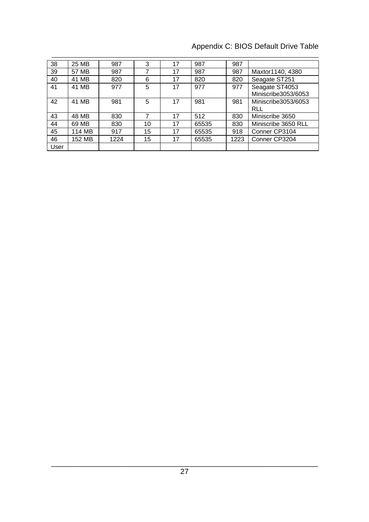### Appendix C: BIOS Default Drive Table

| 38   | 25 MB  | 987  | 3  | 17 | 987   | 987  |                                       |
|------|--------|------|----|----|-------|------|---------------------------------------|
| 39   | 57 MB  | 987  | 7  | 17 | 987   | 987  | Maxtor1140, 4380                      |
| 40   | 41 MB  | 820  | 6  | 17 | 820   | 820  | Seagate ST251                         |
| 41   | 41 MB  | 977  | 5  | 17 | 977   | 977  | Seagate ST4053<br>Miniscribe3053/6053 |
| 42   | 41 MB  | 981  | 5  | 17 | 981   | 981  | Miniscribe3053/6053<br><b>RLL</b>     |
| 43   | 48 MB  | 830  | 7  | 17 | 512   | 830  | Miniscribe 3650                       |
| 44   | 69 MB  | 830  | 10 | 17 | 65535 | 830  | Miniscribe 3650 RLL                   |
| 45   | 114 MB | 917  | 15 | 17 | 65535 | 918  | Conner CP3104                         |
| 46   | 152 MB | 1224 | 15 | 17 | 65535 | 1223 | Conner CP3204                         |
| User |        |      |    |    |       |      |                                       |